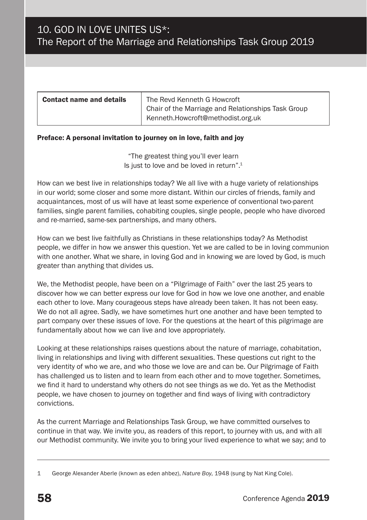| <b>Contact name and details</b> | The Revd Kenneth G Howcroft<br>Chair of the Marriage and Relationships Task Group |
|---------------------------------|-----------------------------------------------------------------------------------|
|                                 | Kenneth.Howcroft@methodist.org.uk                                                 |

#### Preface: A personal invitation to journey on in love, faith and joy

"The greatest thing you'll ever learn Is just to love and be loved in return".1

How can we best live in relationships today? We all live with a huge variety of relationships in our world; some closer and some more distant. Within our circles of friends, family and acquaintances, most of us will have at least some experience of conventional two-parent families, single parent families, cohabiting couples, single people, people who have divorced and re-married, same-sex partnerships, and many others.

How can we best live faithfully as Christians in these relationships today? As Methodist people, we differ in how we answer this question. Yet we are called to be in loving communion with one another. What we share, in loving God and in knowing we are loved by God, is much greater than anything that divides us.

We, the Methodist people, have been on a "Pilgrimage of Faith" over the last 25 years to discover how we can better express our love for God in how we love one another, and enable each other to love. Many courageous steps have already been taken. It has not been easy. We do not all agree. Sadly, we have sometimes hurt one another and have been tempted to part company over these issues of love. For the questions at the heart of this pilgrimage are fundamentally about how we can live and love appropriately.

Looking at these relationships raises questions about the nature of marriage, cohabitation, living in relationships and living with different sexualities. These questions cut right to the very identity of who we are, and who those we love are and can be. Our Pilgrimage of Faith has challenged us to listen and to learn from each other and to move together. Sometimes, we find it hard to understand why others do not see things as we do. Yet as the Methodist people, we have chosen to journey on together and find ways of living with contradictory convictions.

As the current Marriage and Relationships Task Group, we have committed ourselves to continue in that way. We invite you, as readers of this report, to journey with us, and with all our Methodist community. We invite you to bring your lived experience to what we say; and to

<sup>1</sup> George Alexander Aberle (known as eden ahbez), *Nature Boy*, 1948 (sung by Nat King Cole).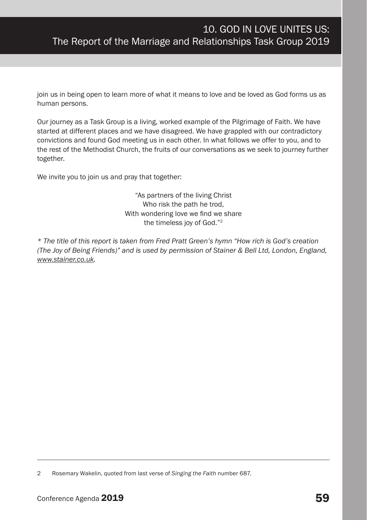join us in being open to learn more of what it means to love and be loved as God forms us as human persons.

Our journey as a Task Group is a living, worked example of the Pilgrimage of Faith. We have started at different places and we have disagreed. We have grappled with our contradictory convictions and found God meeting us in each other. In what follows we offer to you, and to the rest of the Methodist Church, the fruits of our conversations as we seek to journey further together.

We invite you to join us and pray that together:

"As partners of the living Christ Who risk the path he trod, With wondering love we find we share the timeless joy of God."2

*\* The title of this report is taken from Fred Pratt Green's hymn "How rich is God's creation (The Joy of Being Friends)" and is used by permission of Stainer & Bell Ltd, London, England, www.stainer.co.uk.*

<sup>2</sup> Rosemary Wakelin, quoted from last verse of *Singing the Faith* number 687.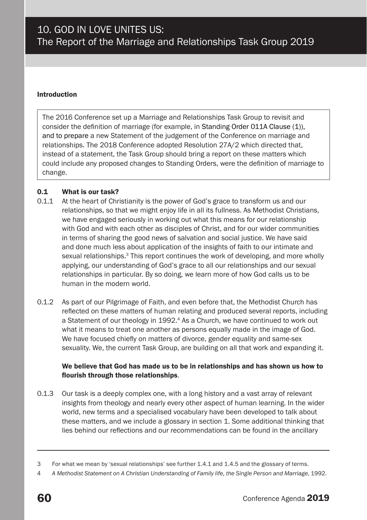#### Introduction

The 2016 Conference set up a Marriage and Relationships Task Group to revisit and consider the definition of marriage (for example, in Standing Order 011A Clause (1)), and to prepare a new Statement of the judgement of the Conference on marriage and relationships. The 2018 Conference adopted Resolution 27A/2 which directed that, instead of a statement, the Task Group should bring a report on these matters which could include any proposed changes to Standing Orders, were the definition of marriage to change.

#### 0.1 What is our task?

- 0.1.1 At the heart of Christianity is the power of God's grace to transform us and our relationships, so that we might enjoy life in all its fullness. As Methodist Christians, we have engaged seriously in working out what this means for our relationship with God and with each other as disciples of Christ, and for our wider communities in terms of sharing the good news of salvation and social justice. We have said and done much less about application of the insights of faith to our intimate and sexual relationships.3 This report continues the work of developing, and more wholly applying, our understanding of God's grace to all our relationships and our sexual relationships in particular. By so doing, we learn more of how God calls us to be human in the modern world.
- 0.1.2 As part of our Pilgrimage of Faith, and even before that, the Methodist Church has reflected on these matters of human relating and produced several reports, including a Statement of our theology in 1992.<sup>4</sup> As a Church, we have continued to work out what it means to treat one another as persons equally made in the image of God. We have focused chiefly on matters of divorce, gender equality and same-sex sexuality. We, the current Task Group, are building on all that work and expanding it.

#### We believe that God has made us to be in relationships and has shown us how to flourish through those relationships.

0.1.3 Our task is a deeply complex one, with a long history and a vast array of relevant insights from theology and nearly every other aspect of human learning. In the wider world, new terms and a specialised vocabulary have been developed to talk about these matters, and we include a glossary in section 1. Some additional thinking that lies behind our reflections and our recommendations can be found in the ancillary

<sup>3</sup> For what we mean by 'sexual relationships' see further 1.4.1 and 1.4.5 and the glossary of terms.

<sup>4</sup> *A Methodist Statement on A Christian Understanding of Family life, the Single Person and Marriage*, 1992.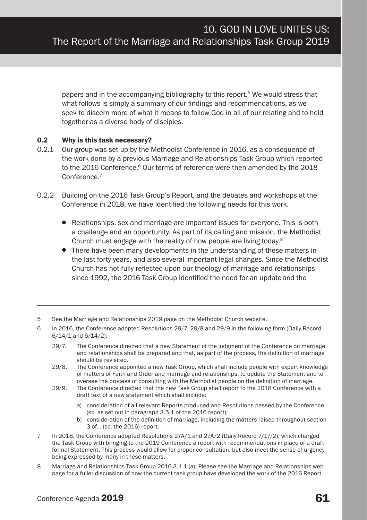papers and in the accompanying bibliography to this report.5 We would stress that what follows is simply a summary of our findings and recommendations, as we seek to discern more of what it means to follow God in all of our relating and to hold together as a diverse body of disciples.

#### 0.2 Why is this task necessary?

- 0.2.1 Our group was set up by the Methodist Conference in 2016, as a consequence of the work done by a previous Marriage and Relationships Task Group which reported to the 2016 Conference.<sup>6</sup> Our terms of reference were then amended by the 2018 Conference.7
- 0.2.2 Building on the 2016 Task Group's Report, and the debates and workshops at the Conference in 2018, we have identified the following needs for this work.
	- Relationships, sex and marriage are important issues for everyone. This is both a challenge and an opportunity. As part of its calling and mission, the Methodist Church must engage with the reality of how people are living today.8
	- There have been many developments in the understanding of these matters in the last forty years, and also several important legal changes. Since the Methodist Church has not fully reflected upon our theology of marriage and relationships since 1992, the 2016 Task Group identified the need for an update and the
- 5 See the Marriage and Relationships 2019 page on the Methodist Church website.
- 6 In 2016, the Conference adopted Resolutions 29/7, 29/8 and 29/9 in the following form (Daily Record 6/14/1 and 6/14/2):
	- 29/7. The Conference directed that a new Statement of the judgment of the Conference on marriage and relationships shall be prepared and that, as part of the process, the definition of marriage should be revisited.
	- 29/8. The Conference appointed a new Task Group, which shall include people with expert knowledge of matters of Faith and Order and marriage and relationships, to update the Statement and to oversee the process of consulting with the Methodist people on the definition of marriage.
	- 29/9. The Conference directed that the new Task Group shall report to the 2018 Conference with a draft text of a new statement which shall include:
		- a) consideration of all relevant Reports produced and Resolutions passed by the Conference… (sc. as set out in paragraph 3.5.1 of the 2016 report);
		- b) consideration of the definition of marriage, including the matters raised throughout section 3 of… (sc. the 2016) report.
- 7 In 2018, the Conference adopted Resolutions 27A/1 and 27A/2 (Daily Record 7/17/2), which charged the Task Group with bringing to the 2019 Conference a report with recommendations in place of a draft formal Statement. This process would allow for proper consultation, but also meet the sense of urgency being expressed by many in these matters.
- 8 Marriage and Relationships Task Group 2016 3.1.1 (a). Please see the Marriage and Relationships web page for a fuller discussion of how the current task group have developed the work of the 2016 Report.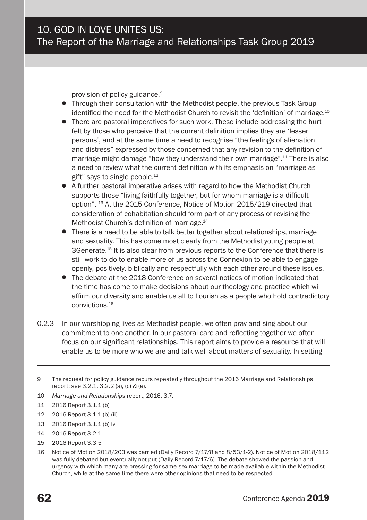provision of policy guidance.<sup>9</sup>

- Through their consultation with the Methodist people, the previous Task Group identified the need for the Methodist Church to revisit the 'definition' of marriage.<sup>10</sup>
- There are pastoral imperatives for such work. These include addressing the hurt felt by those who perceive that the current definition implies they are 'lesser persons', and at the same time a need to recognise "the feelings of alienation and distress" expressed by those concerned that any revision to the definition of marriage might damage "how they understand their own marriage".<sup>11</sup> There is also a need to review what the current definition with its emphasis on "marriage as gift" says to single people.12
- A further pastoral imperative arises with regard to how the Methodist Church supports those "living faithfully together, but for whom marriage is a difficult option". 13 At the 2015 Conference, Notice of Motion 2015/219 directed that consideration of cohabitation should form part of any process of revising the Methodist Church's definition of marriage.<sup>14</sup>
- There is a need to be able to talk better together about relationships, marriage and sexuality. This has come most clearly from the Methodist young people at 3Generate.<sup>15</sup> It is also clear from previous reports to the Conference that there is still work to do to enable more of us across the Connexion to be able to engage openly, positively, biblically and respectfully with each other around these issues.
- The debate at the 2018 Conference on several notices of motion indicated that the time has come to make decisions about our theology and practice which will affirm our diversity and enable us all to flourish as a people who hold contradictory convictions.16
- 0.2.3 In our worshipping lives as Methodist people, we often pray and sing about our commitment to one another. In our pastoral care and reflecting together we often focus on our significant relationships. This report aims to provide a resource that will enable us to be more who we are and talk well about matters of sexuality. In setting

- 10 *Marriage and Relationships* report, 2016, 3.7.
- 11 2016 Report 3.1.1 (b)
- 12 2016 Report 3.1.1 (b) (ii)
- 13 2016 Report 3.1.1 (b) iv
- 14 2016 Report 3.2.1
- 15 2016 Report 3.3.5
- 16 Notice of Motion 2018/203 was carried (Daily Record 7/17/8 and 8/53/1-2). Notice of Motion 2018/112 was fully debated but eventually not put (Daily Record 7/17/6). The debate showed the passion and urgency with which many are pressing for same-sex marriage to be made available within the Methodist Church, while at the same time there were other opinions that need to be respected.

<sup>9</sup> The request for policy guidance recurs repeatedly throughout the 2016 Marriage and Relationships report: see 3.2.1, 3.2.2 (a), (c) & (e).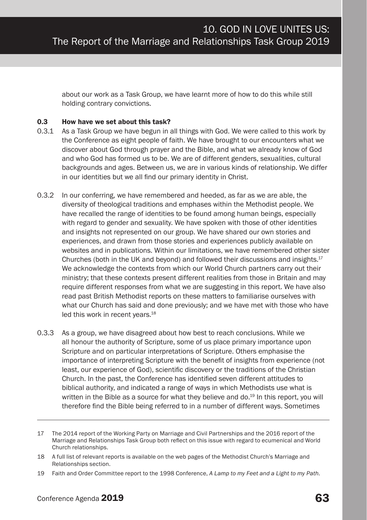about our work as a Task Group, we have learnt more of how to do this while still holding contrary convictions.

#### 0.3 How have we set about this task?

- 0.3.1 As a Task Group we have begun in all things with God. We were called to this work by the Conference as eight people of faith. We have brought to our encounters what we discover about God through prayer and the Bible, and what we already know of God and who God has formed us to be. We are of different genders, sexualities, cultural backgrounds and ages. Between us, we are in various kinds of relationship. We differ in our identities but we all find our primary identity in Christ.
- 0.3.2 In our conferring, we have remembered and heeded, as far as we are able, the diversity of theological traditions and emphases within the Methodist people. We have recalled the range of identities to be found among human beings, especially with regard to gender and sexuality. We have spoken with those of other identities and insights not represented on our group. We have shared our own stories and experiences, and drawn from those stories and experiences publicly available on websites and in publications. Within our limitations, we have remembered other sister Churches (both in the UK and beyond) and followed their discussions and insights.17 We acknowledge the contexts from which our World Church partners carry out their ministry; that these contexts present different realities from those in Britain and may require different responses from what we are suggesting in this report. We have also read past British Methodist reports on these matters to familiarise ourselves with what our Church has said and done previously; and we have met with those who have led this work in recent years.<sup>18</sup>
- 0.3.3 As a group, we have disagreed about how best to reach conclusions. While we all honour the authority of Scripture, some of us place primary importance upon Scripture and on particular interpretations of Scripture. Others emphasise the importance of interpreting Scripture with the benefit of insights from experience (not least, our experience of God), scientific discovery or the traditions of the Christian Church. In the past, the Conference has identified seven different attitudes to biblical authority, and indicated a range of ways in which Methodists use what is written in the Bible as a source for what they believe and do.<sup>19</sup> In this report, you will therefore find the Bible being referred to in a number of different ways. Sometimes

<sup>17</sup> The 2014 report of the Working Party on Marriage and Civil Partnerships and the 2016 report of the Marriage and Relationships Task Group both reflect on this issue with regard to ecumenical and World Church relationships.

<sup>18</sup> A full list of relevant reports is available on the web pages of the Methodist Church's Marriage and Relationships section.

<sup>19</sup> Faith and Order Committee report to the 1998 Conference, *A Lamp to my Feet and a Light to my Path*.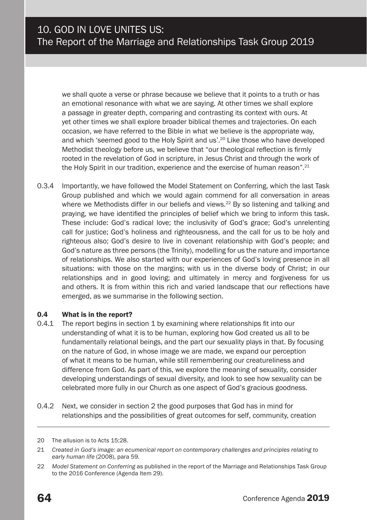we shall quote a verse or phrase because we believe that it points to a truth or has an emotional resonance with what we are saying. At other times we shall explore a passage in greater depth, comparing and contrasting its context with ours. At yet other times we shall explore broader biblical themes and trajectories. On each occasion, we have referred to the Bible in what we believe is the appropriate way, and which 'seemed good to the Holy Spirit and us'.20 Like those who have developed Methodist theology before us, we believe that "our theological reflection is firmly rooted in the revelation of God in scripture, in Jesus Christ and through the work of the Holy Spirit in our tradition, experience and the exercise of human reason".<sup>21</sup>

0.3.4 Importantly, we have followed the Model Statement on Conferring, which the last Task Group published and which we would again commend for all conversation in areas where we Methodists differ in our beliefs and views.<sup>22</sup> By so listening and talking and praying, we have identified the principles of belief which we bring to inform this task. These include: God's radical love; the inclusivity of God's grace; God's unrelenting call for justice; God's holiness and righteousness, and the call for us to be holy and righteous also; God's desire to live in covenant relationship with God's people; and God's nature as three persons (the Trinity), modelling for us the nature and importance of relationships. We also started with our experiences of God's loving presence in all situations: with those on the margins; with us in the diverse body of Christ; in our relationships and in good loving; and ultimately in mercy and forgiveness for us and others. It is from within this rich and varied landscape that our reflections have emerged, as we summarise in the following section.

#### 0.4 What is in the report?

- 0.4.1 The report begins in section 1 by examining where relationships fit into our understanding of what it is to be human, exploring how God created us all to be fundamentally relational beings, and the part our sexuality plays in that. By focusing on the nature of God, in whose image we are made, we expand our perception of what it means to be human, while still remembering our creatureliness and difference from God. As part of this, we explore the meaning of sexuality, consider developing understandings of sexual diversity, and look to see how sexuality can be celebrated more fully in our Church as one aspect of God's gracious goodness.
- 0.4.2 Next, we consider in section 2 the good purposes that God has in mind for relationships and the possibilities of great outcomes for self, community, creation

<sup>20</sup> The allusion is to Acts 15:28.

<sup>21</sup> *Created in God's image: an ecumenical report on contemporary challenges and principles relating to early human life* (2008), para 59*.* 

<sup>22</sup> *Model Statement on Conferring* as published in the report of the Marriage and Relationships Task Group to the 2016 Conference (Agenda Item 29).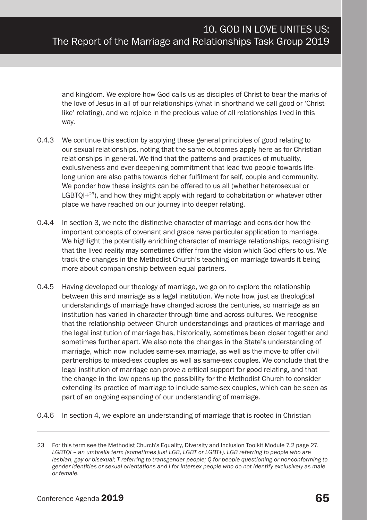and kingdom. We explore how God calls us as disciples of Christ to bear the marks of the love of Jesus in all of our relationships (what in shorthand we call good or 'Christlike' relating), and we rejoice in the precious value of all relationships lived in this way.

- 0.4.3 We continue this section by applying these general principles of good relating to our sexual relationships, noting that the same outcomes apply here as for Christian relationships in general. We find that the patterns and practices of mutuality, exclusiveness and ever-deepening commitment that lead two people towards lifelong union are also paths towards richer fulfilment for self, couple and community. We ponder how these insights can be offered to us all (whether heterosexual or  $LGBTOI+23$ ), and how they might apply with regard to cohabitation or whatever other place we have reached on our journey into deeper relating.
- 0.4.4 In section 3, we note the distinctive character of marriage and consider how the important concepts of covenant and grace have particular application to marriage. We highlight the potentially enriching character of marriage relationships, recognising that the lived reality may sometimes differ from the vision which God offers to us. We track the changes in the Methodist Church's teaching on marriage towards it being more about companionship between equal partners.
- 0.4.5 Having developed our theology of marriage, we go on to explore the relationship between this and marriage as a legal institution. We note how, just as theological understandings of marriage have changed across the centuries, so marriage as an institution has varied in character through time and across cultures. We recognise that the relationship between Church understandings and practices of marriage and the legal institution of marriage has, historically, sometimes been closer together and sometimes further apart. We also note the changes in the State's understanding of marriage, which now includes same-sex marriage, as well as the move to offer civil partnerships to mixed-sex couples as well as same-sex couples. We conclude that the legal institution of marriage can prove a critical support for good relating, and that the change in the law opens up the possibility for the Methodist Church to consider extending its practice of marriage to include same-sex couples, which can be seen as part of an ongoing expanding of our understanding of marriage.
- 0.4.6 In section 4, we explore an understanding of marriage that is rooted in Christian

<sup>23</sup> For this term see the Methodist Church's Equality, Diversity and Inclusion Toolkit Module 7.2 page 27. *LGBTQI – an umbrella term (sometimes just LGB, LGBT or LGBT+). LGB referring to people who are lesbian, gay or bisexual; T referring to transgender people; Q for people questioning or nonconforming to gender identities or sexual orientations and I for intersex people who do not identify exclusively as male or female.*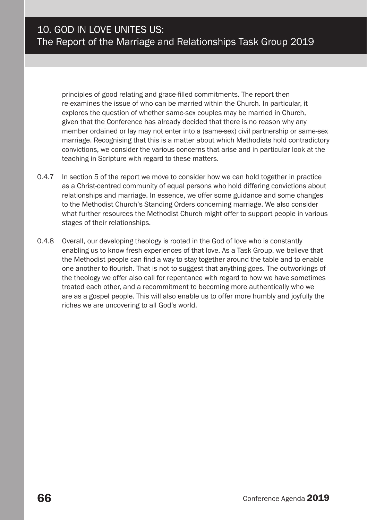principles of good relating and grace-filled commitments. The report then re-examines the issue of who can be married within the Church. In particular, it explores the question of whether same-sex couples may be married in Church, given that the Conference has already decided that there is no reason why any member ordained or lay may not enter into a (same-sex) civil partnership or same-sex marriage. Recognising that this is a matter about which Methodists hold contradictory convictions, we consider the various concerns that arise and in particular look at the teaching in Scripture with regard to these matters.

- 0.4.7 In section 5 of the report we move to consider how we can hold together in practice as a Christ-centred community of equal persons who hold differing convictions about relationships and marriage. In essence, we offer some guidance and some changes to the Methodist Church's Standing Orders concerning marriage. We also consider what further resources the Methodist Church might offer to support people in various stages of their relationships.
- 0.4.8 Overall, our developing theology is rooted in the God of love who is constantly enabling us to know fresh experiences of that love. As a Task Group, we believe that the Methodist people can find a way to stay together around the table and to enable one another to flourish. That is not to suggest that anything goes. The outworkings of the theology we offer also call for repentance with regard to how we have sometimes treated each other, and a recommitment to becoming more authentically who we are as a gospel people. This will also enable us to offer more humbly and joyfully the riches we are uncovering to all God's world.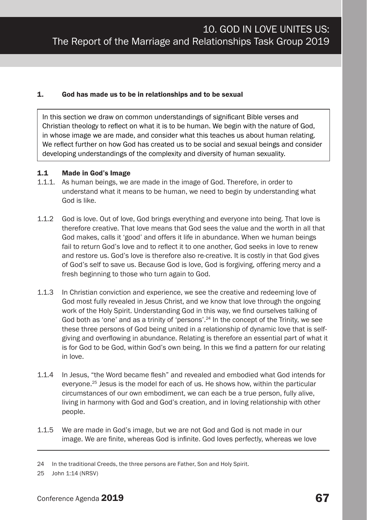#### 1. God has made us to be in relationships and to be sexual

In this section we draw on common understandings of significant Bible verses and Christian theology to reflect on what it is to be human. We begin with the nature of God, in whose image we are made, and consider what this teaches us about human relating. We reflect further on how God has created us to be social and sexual beings and consider developing understandings of the complexity and diversity of human sexuality.

#### 1.1 Made in God's Image

- 1.1.1. As human beings, we are made in the image of God. Therefore, in order to understand what it means to be human, we need to begin by understanding what God is like.
- 1.1.2 God is love. Out of love, God brings everything and everyone into being. That love is therefore creative. That love means that God sees the value and the worth in all that God makes, calls it 'good' and offers it life in abundance. When we human beings fail to return God's love and to reflect it to one another, God seeks in love to renew and restore us. God's love is therefore also re-creative. It is costly in that God gives of God's self to save us. Because God is love, God is forgiving, offering mercy and a fresh beginning to those who turn again to God.
- 1.1.3 In Christian conviction and experience, we see the creative and redeeming love of God most fully revealed in Jesus Christ, and we know that love through the ongoing work of the Holy Spirit. Understanding God in this way, we find ourselves talking of God both as 'one' and as a trinity of 'persons'.<sup>24</sup> In the concept of the Trinity, we see these three persons of God being united in a relationship of dynamic love that is selfgiving and overflowing in abundance. Relating is therefore an essential part of what it is for God to be God, within God's own being. In this we find a pattern for our relating in love.
- 1.1.4 In Jesus, "the Word became flesh" and revealed and embodied what God intends for everyone.25 Jesus is the model for each of us. He shows how, within the particular circumstances of our own embodiment, we can each be a true person, fully alive, living in harmony with God and God's creation, and in loving relationship with other people.
- 1.1.5 We are made in God's image, but we are not God and God is not made in our image. We are finite, whereas God is infinite. God loves perfectly, whereas we love

<sup>24</sup> In the traditional Creeds, the three persons are Father, Son and Holy Spirit.

<sup>25</sup> John 1:14 (NRSV)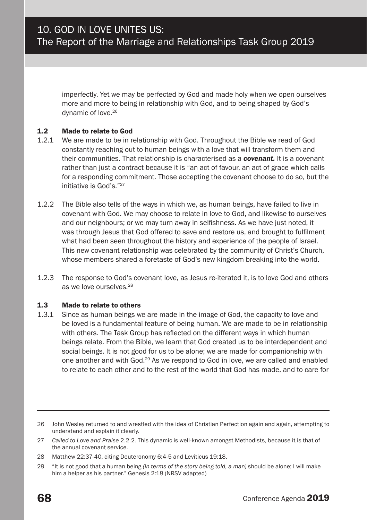imperfectly. Yet we may be perfected by God and made holy when we open ourselves more and more to being in relationship with God, and to being shaped by God's dynamic of love.26

#### 1.2 Made to relate to God

- 1.2.1 We are made to be in relationship with God. Throughout the Bible we read of God constantly reaching out to human beings with a love that will transform them and their communities. That relationship is characterised as a *covenant.* It is a covenant rather than just a contract because it is "an act of favour, an act of grace which calls for a responding commitment. Those accepting the covenant choose to do so, but the initiative is God's "27
- 1.2.2 The Bible also tells of the ways in which we, as human beings, have failed to live in covenant with God. We may choose to relate in love to God, and likewise to ourselves and our neighbours; or we may turn away in selfishness. As we have just noted, it was through Jesus that God offered to save and restore us, and brought to fulfilment what had been seen throughout the history and experience of the people of Israel. This new covenant relationship was celebrated by the community of Christ's Church, whose members shared a foretaste of God's new kingdom breaking into the world.
- 1.2.3 The response to God's covenant love, as Jesus re-iterated it, is to love God and others as we love ourselves.<sup>28</sup>

#### 1.3 Made to relate to others

1.3.1 Since as human beings we are made in the image of God, the capacity to love and be loved is a fundamental feature of being human. We are made to be in relationship with others. The Task Group has reflected on the different ways in which human beings relate. From the Bible, we learn that God created us to be interdependent and social beings. It is not good for us to be alone; we are made for companionship with one another and with God.29 As we respond to God in love, we are called and enabled to relate to each other and to the rest of the world that God has made, and to care for

<sup>26</sup> John Wesley returned to and wrestled with the idea of Christian Perfection again and again, attempting to understand and explain it clearly.

<sup>27</sup> *Called to Love and Praise* 2.2.2. This dynamic is well-known amongst Methodists, because it is that of the annual covenant service.

<sup>28</sup> Matthew 22:37-40, citing Deuteronomy 6:4-5 and Leviticus 19:18.

<sup>29</sup> "It is not good that a human being *(in terms of the story being told, a man)* should be alone; I will make him a helper as his partner." Genesis 2:18 (NRSV adapted)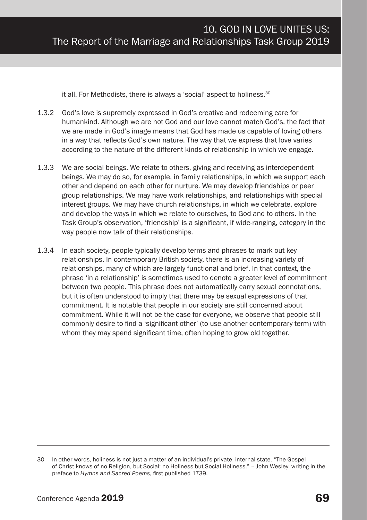it all. For Methodists, there is always a 'social' aspect to holiness.30

- 1.3.2 God's love is supremely expressed in God's creative and redeeming care for humankind. Although we are not God and our love cannot match God's, the fact that we are made in God's image means that God has made us capable of loving others in a way that reflects God's own nature. The way that we express that love varies according to the nature of the different kinds of relationship in which we engage.
- 1.3.3 We are social beings. We relate to others, giving and receiving as interdependent beings. We may do so, for example, in family relationships, in which we support each other and depend on each other for nurture. We may develop friendships or peer group relationships. We may have work relationships, and relationships with special interest groups. We may have church relationships, in which we celebrate, explore and develop the ways in which we relate to ourselves, to God and to others. In the Task Group's observation, 'friendship' is a significant, if wide-ranging, category in the way people now talk of their relationships.
- 1.3.4 In each society, people typically develop terms and phrases to mark out key relationships. In contemporary British society, there is an increasing variety of relationships, many of which are largely functional and brief. In that context, the phrase 'in a relationship' is sometimes used to denote a greater level of commitment between two people. This phrase does not automatically carry sexual connotations, but it is often understood to imply that there may be sexual expressions of that commitment. It is notable that people in our society are still concerned about commitment. While it will not be the case for everyone, we observe that people still commonly desire to find a 'significant other' (to use another contemporary term) with whom they may spend significant time, often hoping to grow old together.

<sup>30</sup> In other words, holiness is not just a matter of an individual's private, internal state. "The Gospel of Christ knows of no Religion, but Social; no Holiness but Social Holiness." – John Wesley, writing in the preface to *Hymns and Sacred Poems*, first published 1739.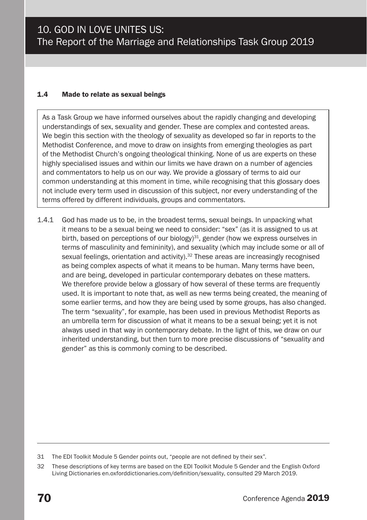#### 1.4 Made to relate as sexual beings

As a Task Group we have informed ourselves about the rapidly changing and developing understandings of sex, sexuality and gender. These are complex and contested areas. We begin this section with the theology of sexuality as developed so far in reports to the Methodist Conference, and move to draw on insights from emerging theologies as part of the Methodist Church's ongoing theological thinking. None of us are experts on these highly specialised issues and within our limits we have drawn on a number of agencies and commentators to help us on our way. We provide a glossary of terms to aid our common understanding at this moment in time, while recognising that this glossary does not include every term used in discussion of this subject, nor every understanding of the terms offered by different individuals, groups and commentators.

1.4.1 God has made us to be, in the broadest terms, sexual beings. In unpacking what it means to be a sexual being we need to consider: "sex" (as it is assigned to us at birth, based on perceptions of our biology)<sup>31</sup>, gender (how we express ourselves in terms of masculinity and femininity), and sexuality (which may include some or all of sexual feelings, orientation and activity).<sup>32</sup> These areas are increasingly recognised as being complex aspects of what it means to be human. Many terms have been, and are being, developed in particular contemporary debates on these matters. We therefore provide below a glossary of how several of these terms are frequently used. It is important to note that, as well as new terms being created, the meaning of some earlier terms, and how they are being used by some groups, has also changed. The term "sexuality", for example, has been used in previous Methodist Reports as an umbrella term for discussion of what it means to be a sexual being; yet it is not always used in that way in contemporary debate. In the light of this, we draw on our inherited understanding, but then turn to more precise discussions of "sexuality and gender" as this is commonly coming to be described.

<sup>31</sup> The EDI Toolkit Module 5 Gender points out, "people are not defined by their sex".

<sup>32</sup> These descriptions of key terms are based on the EDI Toolkit Module 5 Gender and the English Oxford Living Dictionaries en.oxforddictionaries.com/definition/sexuality, consulted 29 March 2019.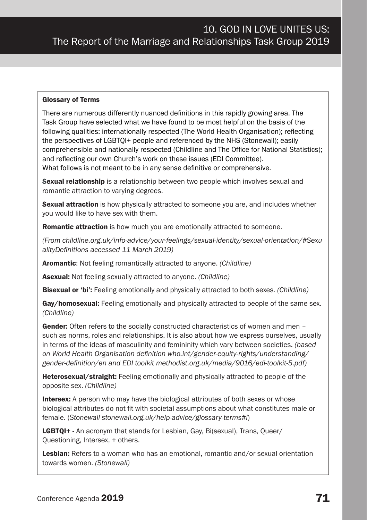#### Glossary of Terms

There are numerous differently nuanced definitions in this rapidly growing area. The Task Group have selected what we have found to be most helpful on the basis of the following qualities: internationally respected (The World Health Organisation); reflecting the perspectives of LGBTQI+ people and referenced by the NHS (Stonewall); easily comprehensible and nationally respected (Childline and The Office for National Statistics); and reflecting our own Church's work on these issues (EDI Committee). What follows is not meant to be in any sense definitive or comprehensive.

**Sexual relationship** is a relationship between two people which involves sexual and romantic attraction to varying degrees.

**Sexual attraction** is how physically attracted to someone you are, and includes whether you would like to have sex with them.

Romantic attraction is how much you are emotionally attracted to someone.

*(From childline.org.uk/info-advice/your-feelings/sexual-identity/sexual-orientation/#Sexu alityDefinitions accessed 11 March 2019)*

Aromantic: Not feeling romantically attracted to anyone. *(Childline)*

Asexual: Not feeling sexually attracted to anyone. *(Childline)*

Bisexual or 'bi': Feeling emotionally and physically attracted to both sexes. *(Childline)*

Gay/homosexual: Feeling emotionally and physically attracted to people of the same sex. *(Childline)*

Gender: Often refers to the socially constructed characteristics of women and men – such as norms, roles and relationships. It is also about how we express ourselves, usually in terms of the ideas of masculinity and femininity which vary between societies. *(based on World Health Organisation definition who.int/gender-equity-rights/understanding/ gender-definition/en and EDI toolkit methodist.org.uk/media/9016/edi-toolkit-5.pdf)*

**Heterosexual/straight:** Feeling emotionally and physically attracted to people of the opposite sex. *(Childline)*

Intersex: A person who may have the biological attributes of both sexes or whose biological attributes do not fit with societal assumptions about what constitutes male or female. (*Stonewall stonewall.org.uk/help-advice/glossary-terms#i*)

LGBTQI+ - An acronym that stands for Lesbian, Gay, Bi(sexual), Trans, Queer/ Questioning, Intersex, + others.

Lesbian: Refers to a woman who has an emotional, romantic and/or sexual orientation towards women. *(Stonewall)*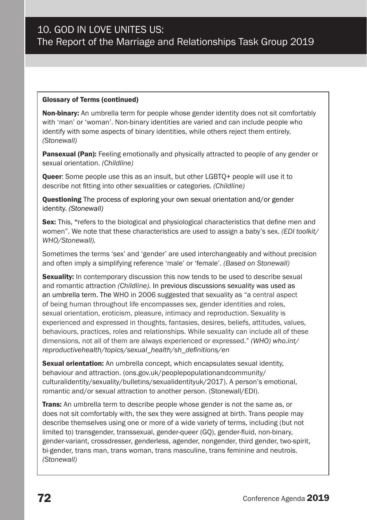#### Glossary of Terms (continued)

Non-binary: An umbrella term for people whose gender identity does not sit comfortably with 'man' or 'woman'. Non-binary identities are varied and can include people who identify with some aspects of binary identities, while others reject them entirely. *(Stonewall)*

**Pansexual (Pan):** Feeling emotionally and physically attracted to people of any gender or sexual orientation. *(Childline)*

Queer: Some people use this as an insult, but other LGBTQ+ people will use it to describe not fitting into other sexualities or categories. *(Childline)*

**Questioning** The process of exploring your own sexual orientation and/or gender identity. *(Stonewall)*

Sex: This, "refers to the biological and physiological characteristics that define men and women". We note that these characteristics are used to assign a baby's sex. *(EDI toolkit/ WHO/Stonewall).* 

Sometimes the terms 'sex' and 'gender' are used interchangeably and without precision and often imply a simplifying reference 'male' or 'female'. *(Based on Stonewall)*

**Sexuality:** In contemporary discussion this now tends to be used to describe sexual and romantic attraction *(Childline).* In previous discussions sexuality was used as an umbrella term. The WHO in 2006 suggested that sexuality as "a central aspect of being human throughout life encompasses sex, gender identities and roles, sexual orientation, eroticism, pleasure, intimacy and reproduction. Sexuality is experienced and expressed in thoughts, fantasies, desires, beliefs, attitudes, values, behaviours, practices, roles and relationships. While sexuality can include all of these dimensions, not all of them are always experienced or expressed." *(WHO) who.int/ reproductivehealth/topics/sexual\_health/sh\_definitions/en*

**Sexual orientation:** An umbrella concept, which encapsulates sexual identity, behaviour and attraction. (ons.gov.uk/peoplepopulationandcommunity/ culturalidentity/sexuality/bulletins/sexualidentityuk/2017). A person's emotional, romantic and/or sexual attraction to another person. (Stonewall/EDI).

Trans: An umbrella term to describe people whose gender is not the same as, or does not sit comfortably with, the sex they were assigned at birth. Trans people may describe themselves using one or more of a wide variety of terms, including (but not limited to) transgender, transsexual, gender-queer (GQ), gender-fluid, non-binary, gender-variant, crossdresser, genderless, agender, nongender, third gender, two-spirit, bi-gender, trans man, trans woman, trans masculine, trans feminine and neutrois. *(Stonewall)*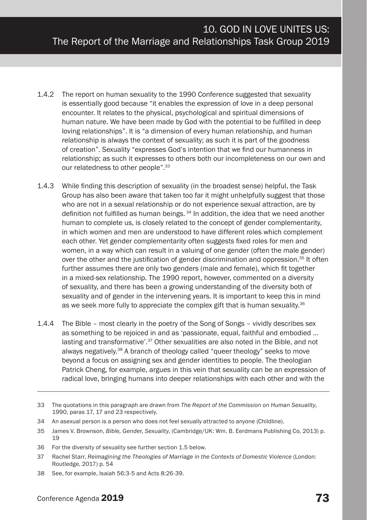- 1.4.2 The report on human sexuality to the 1990 Conference suggested that sexuality is essentially good because "it enables the expression of love in a deep personal encounter. It relates to the physical, psychological and spiritual dimensions of human nature. We have been made by God with the potential to be fulfilled in deep loving relationships". It is "a dimension of every human relationship, and human relationship is always the context of sexuality; as such it is part of the goodness of creation". Sexuality "expresses God's intention that we find our humanness in relationship; as such it expresses to others both our incompleteness on our own and our relatedness to other people".<sup>33</sup>
- 1.4.3 While finding this description of sexuality (in the broadest sense) helpful, the Task Group has also been aware that taken too far it might unhelpfully suggest that those who are not in a sexual relationship or do not experience sexual attraction, are by definition not fulfilled as human beings.  $34$  In addition, the idea that we need another human to complete us, is closely related to the concept of gender complementarity, in which women and men are understood to have different roles which complement each other. Yet gender complementarity often suggests fixed roles for men and women, in a way which can result in a valuing of one gender (often the male gender) over the other and the justification of gender discrimination and oppression.<sup>35</sup> It often further assumes there are only two genders (male and female), which fit together in a mixed-sex relationship. The 1990 report, however, commented on a diversity of sexuality, and there has been a growing understanding of the diversity both of sexuality and of gender in the intervening years. It is important to keep this in mind as we seek more fully to appreciate the complex gift that is human sexuality.<sup>36</sup>
- 1.4.4 The Bible most clearly in the poetry of the Song of Songs vividly describes sex as something to be rejoiced in and as 'passionate, equal, faithful and embodied … lasting and transformative<sup>', 37</sup> Other sexualities are also noted in the Bible, and not always negatively.<sup>38</sup> A branch of theology called "queer theology" seeks to move beyond a focus on assigning sex and gender identities to people. The theologian Patrick Cheng, for example, argues in this vein that sexuality can be an expression of radical love, bringing humans into deeper relationships with each other and with the

<sup>33</sup> The quotations in this paragraph are drawn from *The Report of the Commission on Human Sexuality*, 1990, paras 17, 17 and 23 respectively.

<sup>34</sup> An asexual person is a person who does not feel sexually attracted to anyone (Childline).

<sup>35</sup> James V. Brownson, *Bible, Gender, Sexuality*, (Cambridge/UK: Wm. B. Eerdmans Publishing Co, 2013) p. 19

<sup>36</sup> For the diversity of sexuality see further section 1.5 below.

<sup>37</sup> Rachel Starr, *Reimagining the Theologies of Marriage in the Contexts of Domestic Violence* (London: Routledge, 2017) p. 54

<sup>38</sup> See, for example, Isaiah 56:3-5 and Acts 8:26-39.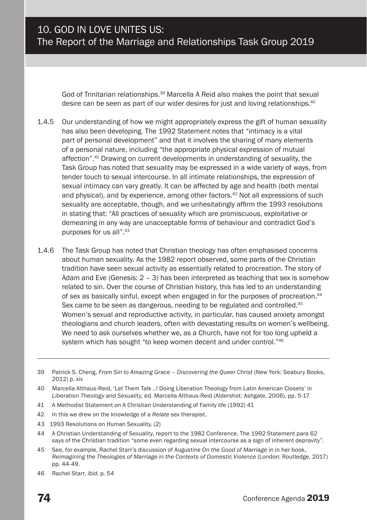God of Trinitarian relationships.39 Marcella A Reid also makes the point that sexual desire can be seen as part of our wider desires for just and loving relationships.<sup>40</sup>

- 1.4.5 Our understanding of how we might appropriately express the gift of human sexuality has also been developing. The 1992 Statement notes that "intimacy is a vital part of personal development" and that it involves the sharing of many elements of a personal nature, including "the appropriate physical expression of mutual affection".41 Drawing on current developments in understanding of sexuality, the Task Group has noted that sexuality may be expressed in a wide variety of ways, from tender touch to sexual intercourse. In all intimate relationships, the expression of sexual intimacy can vary greatly. It can be affected by age and health (both mental and physical), and by experience, among other factors.<sup>42</sup> Not all expressions of such sexuality are acceptable, though, and we unhesitatingly affirm the 1993 resolutions in stating that: "All practices of sexuality which are promiscuous, exploitative or demeaning in any way are unacceptable forms of behaviour and contradict God's purposes for us all".43
- 1.4.6 The Task Group has noted that Christian theology has often emphasised concerns about human sexuality. As the 1982 report observed, some parts of the Christian tradition have seen sexual activity as essentially related to procreation. The story of Adam and Eve (Genesis: 2 – 3) has been interpreted as teaching that sex is somehow related to sin. Over the course of Christian history, this has led to an understanding of sex as basically sinful, except when engaged in for the purposes of procreation.44 Sex came to be seen as dangerous, needing to be regulated and controlled.<sup>45</sup> Women's sexual and reproductive activity, in particular, has caused anxiety amongst theologians and church leaders, often with devastating results on women's wellbeing. We need to ask ourselves whether we, as a Church, have not for too long upheld a system which has sought "to keep women decent and under control."46

- 41 A Methodist Statement on A Christian Understanding of Family life (1992) 41
- 42 In this we drew on the knowledge of a *Relate* sex therapist.
- 43 1993 Resolutions on Human Sexuality, (2)
- 44 A Christian Understanding of Sexuality, report to the 1982 Conference. The 1992 Statement para 62 says of the Christian tradition "some even regarding sexual intercourse as a sign of inherent depravity".
- 45 See, for example, Rachel Starr's discussion of Augustine *On the Good of Marriage* in in her book, *Reimagining the Theologies of Marriage in the Contexts of Domestic Violence* (London: Routledge, 2017) pp. 44-49.
- 46 Rachel Starr, *ibid.* p. 54

<sup>39</sup> Patrick S. Cheng, *From Sin to Amazing Grace – Discovering the Queer Christ* (New York: Seabury Books, 2012) p. xiv

<sup>40</sup> Marcella Althaus-Reid, 'Let Them Talk ..! Doing Liberation Theology from Latin American Closets' in *Liberation Theology and Sexuality,* ed. Marcella Althaus-Reid (Aldershot: Ashgate, 2006), pp. 5-17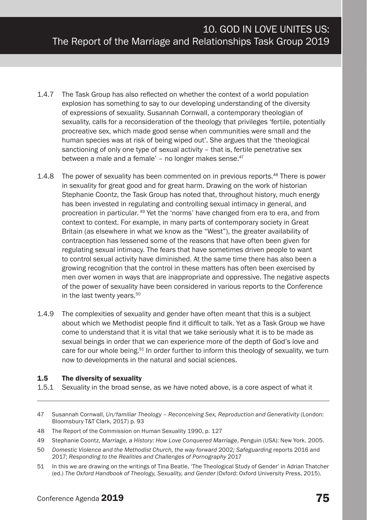- 1.4.7 The Task Group has also reflected on whether the context of a world population explosion has something to say to our developing understanding of the diversity of expressions of sexuality. Susannah Cornwall, a contemporary theologian of sexuality, calls for a reconsideration of the theology that privileges 'fertile, potentially procreative sex, which made good sense when communities were small and the human species was at risk of being wiped out'. She argues that the 'theological sanctioning of only one type of sexual activity – that is, fertile penetrative sex between a male and a female' – no longer makes sense. $47$
- 1.4.8 The power of sexuality has been commented on in previous reports.48 There is power in sexuality for great good and for great harm. Drawing on the work of historian Stephanie Coontz, the Task Group has noted that, throughout history, much energy has been invested in regulating and controlling sexual intimacy in general, and procreation in particular. 49 Yet the 'norms' have changed from era to era, and from context to context. For example, in many parts of contemporary society in Great Britain (as elsewhere in what we know as the "West"), the greater availability of contraception has lessened some of the reasons that have often been given for regulating sexual intimacy. The fears that have sometimes driven people to want to control sexual activity have diminished. At the same time there has also been a growing recognition that the control in these matters has often been exercised by men over women in ways that are inappropriate and oppressive. The negative aspects of the power of sexuality have been considered in various reports to the Conference in the last twenty years.<sup>50</sup>
- 1.4.9 The complexities of sexuality and gender have often meant that this is a subject about which we Methodist people find it difficult to talk. Yet as a Task Group we have come to understand that it is vital that we take seriously what it is to be made as sexual beings in order that we can experience more of the depth of God's love and care for our whole being.51 In order further to inform this theology of sexuality, we turn now to developments in the natural and social sciences.

#### 1.5 The diversity of sexuality

1.5.1 Sexuality in the broad sense, as we have noted above, is a core aspect of what it

- 50 *Domestic Violence and the Methodist Church, the way forward* 2002*; Safeguarding* reports 2016 and 2017; *Responding to the Realities and Challenges of Pornography* 2017
- 51 In this we are drawing on the writings of Tina Beatle, 'The Theological Study of Gender' in Adrian Thatcher (ed.) *The Oxford Handbook of Theology, Sexuality, and Gender* (Oxford: Oxford University Press, 2015).

<sup>47</sup> Susannah Cornwall, *Un/familiar Theology – Reconceiving Sex, Reproduction and Generativity* (London: Bloomsbury T&T Clark, 2017) p. 93

<sup>48</sup> The Report of the Commission on Human Sexuality 1990, p. 127

<sup>49</sup> Stephanie Coontz, *Marriage, a History: How Love Conquered Marriage*, Penguin (USA): New York. 2005.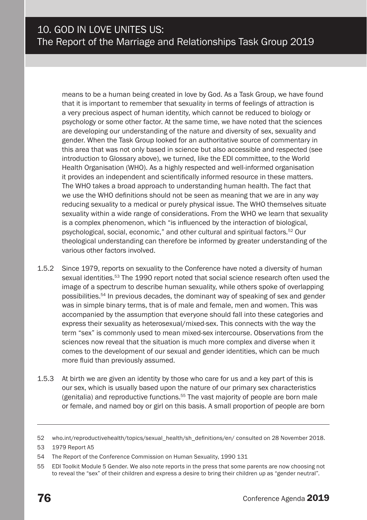means to be a human being created in love by God. As a Task Group, we have found that it is important to remember that sexuality in terms of feelings of attraction is a very precious aspect of human identity, which cannot be reduced to biology or psychology or some other factor. At the same time, we have noted that the sciences are developing our understanding of the nature and diversity of sex, sexuality and gender. When the Task Group looked for an authoritative source of commentary in this area that was not only based in science but also accessible and respected (see introduction to Glossary above), we turned, like the EDI committee, to the World Health Organisation (WHO). As a highly respected and well-informed organisation it provides an independent and scientifically informed resource in these matters. The WHO takes a broad approach to understanding human health. The fact that we use the WHO definitions should not be seen as meaning that we are in any way reducing sexuality to a medical or purely physical issue. The WHO themselves situate sexuality within a wide range of considerations. From the WHO we learn that sexuality is a complex phenomenon, which "is influenced by the interaction of biological, psychological, social, economic," and other cultural and spiritual factors*.* <sup>52</sup> Our theological understanding can therefore be informed by greater understanding of the various other factors involved.

- 1.5.2 Since 1979, reports on sexuality to the Conference have noted a diversity of human sexual identities.53 The 1990 report noted that social science research often used the image of a spectrum to describe human sexuality, while others spoke of overlapping possibilities.54 In previous decades, the dominant way of speaking of sex and gender was in simple binary terms, that is of male and female, men and women. This was accompanied by the assumption that everyone should fall into these categories and express their sexuality as heterosexual/mixed-sex. This connects with the way the term "sex" is commonly used to mean mixed-sex intercourse. Observations from the sciences now reveal that the situation is much more complex and diverse when it comes to the development of our sexual and gender identities, which can be much more fluid than previously assumed.
- 1.5.3 At birth we are given an identity by those who care for us and a key part of this is our sex, which is usually based upon the nature of our primary sex characteristics (genitalia) and reproductive functions.<sup>55</sup> The vast majority of people are born male or female, and named boy or girl on this basis. A small proportion of people are born

<sup>52</sup> who.int/reproductivehealth/topics/sexual\_health/sh\_definitions/en/ consulted on 28 November 2018.

<sup>53</sup> 1979 Report A5

<sup>54</sup> The Report of the Conference Commission on Human Sexuality, 1990 131

<sup>55</sup> EDI Toolkit Module 5 Gender. We also note reports in the press that some parents are now choosing not to reveal the "sex" of their children and express a desire to bring their children up as "gender neutral".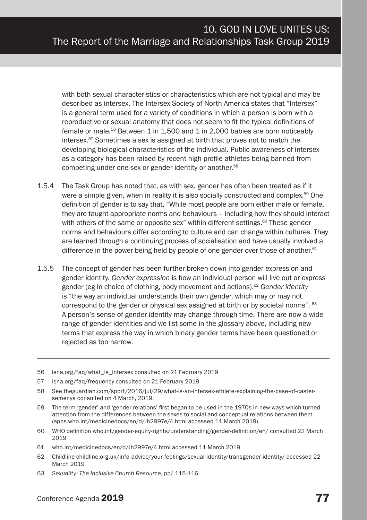with both sexual characteristics or characteristics which are not typical and may be described as intersex. The Intersex Society of North America states that "Intersex" is a general term used for a variety of conditions in which a person is born with a reproductive or sexual anatomy that does not seem to fit the typical definitions of female or male.56 Between 1 in 1,500 and 1 in 2,000 babies are born noticeably intersex.57 Sometimes a sex is assigned at birth that proves not to match the developing biological characteristics of the individual. Public awareness of intersex as a category has been raised by recent high-profile athletes being banned from competing under one sex or gender identity or another.58

- 1.5.4 The Task Group has noted that, as with sex, gender has often been treated as if it were a simple given, when in reality it is also socially constructed and complex.<sup>59</sup> One definition of gender is to say that, "While most people are born either male or female, they are taught appropriate norms and behaviours – including how they should interact with others of the same or opposite sex" within different settings.<sup>60</sup> These gender norms and behaviours differ according to culture and can change within cultures. They are learned through a continuing process of socialisation and have usually involved a difference in the power being held by people of one gender over those of another. $61$
- 1.5.5 The concept of gender has been further broken down into gender expression and gender identity. *Gender expression* is how an individual person will live out or express gender (eg in choice of clothing, body movement and actions).62 *Gender identity* is "the way an individual understands their own gender, which may or may not correspond to the gender or physical sex assigned at birth or by societal norms". 63 A person's sense of gender identity may change through time. There are now a wide range of gender identities and we list some in the glossary above, including new terms that express the way in which binary gender terms have been questioned or rejected as too narrow.
- 56 isna.org/faq/what\_is\_intersex consulted on 21 February 2019
- 57 isna.org/faq/frequency consulted on 21 February 2019

- 60 WHO definition who.int/gender-equity-rights/understanding/gender-definition/en/ consulted 22 March 2019
- 61 who.int/medicinedocs/en/d/Jh2997e/4.html accessed 11 March 2019
- 62 Childline childline.org.uk/info-advice/your-feelings/sexual-identity/transgender-identity/ accessed 22 March 2019
- 63 *Sexuality: The Inclusive Church Resource*, pp/ 115-116

<sup>58</sup> See theguardian.com/sport/2016/jul/29/what-is-an-intersex-athlete-explaining-the-case-of-castersemenya consulted on 4 March, 2019.

<sup>59</sup> The term 'gender' and 'gender relations' first began to be used in the 1970s in new ways which turned attention from the differences between the sexes to social and conceptual relations between them (apps.who.int/medicinedocs/en/d/Jh2997e/4.html accessed 11 March 2019).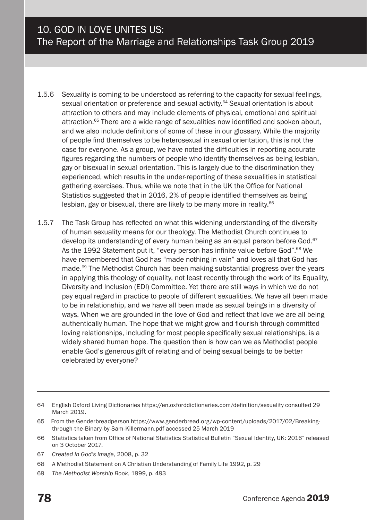- 1.5.6 Sexuality is coming to be understood as referring to the capacity for sexual feelings, sexual orientation or preference and sexual activity.<sup>64</sup> Sexual orientation is about attraction to others and may include elements of physical, emotional and spiritual attraction.65 There are a wide range of sexualities now identified and spoken about, and we also include definitions of some of these in our glossary. While the majority of people find themselves to be heterosexual in sexual orientation, this is not the case for everyone. As a group, we have noted the difficulties in reporting accurate figures regarding the numbers of people who identify themselves as being lesbian, gay or bisexual in sexual orientation. This is largely due to the discrimination they experienced, which results in the under-reporting of these sexualities in statistical gathering exercises. Thus, while we note that in the UK the Office for National Statistics suggested that in 2016, 2% of people identified themselves as being lesbian, gay or bisexual, there are likely to be many more in reality.66
- 1.5.7 The Task Group has reflected on what this widening understanding of the diversity of human sexuality means for our theology. The Methodist Church continues to develop its understanding of every human being as an equal person before God.<sup>67</sup> As the 1992 Statement put it, "every person has infinite value before God".<sup>68</sup> We have remembered that God has "made nothing in vain" and loves all that God has made.<sup>69</sup> The Methodist Church has been making substantial progress over the years in applying this theology of equality, not least recently through the work of its Equality, Diversity and Inclusion (EDI) Committee. Yet there are still ways in which we do not pay equal regard in practice to people of different sexualities. We have all been made to be in relationship, and we have all been made as sexual beings in a diversity of ways. When we are grounded in the love of God and reflect that love we are all being authentically human. The hope that we might grow and flourish through committed loving relationships, including for most people specifically sexual relationships, is a widely shared human hope. The question then is how can we as Methodist people enable God's generous gift of relating and of being sexual beings to be better celebrated by everyone?

- 67 *Created in God's image,* 2008, p. 32
- 68 A Methodist Statement on A Christian Understanding of Family Life 1992, p. 29
- 69 *The Methodist Worship Book*, 1999, p. 493

<sup>64</sup> English Oxford Living Dictionaries https://en.oxforddictionaries.com/definition/sexuality consulted 29 March 2019.

<sup>65</sup> From the Genderbreadperson https://www.genderbread.org/wp-content/uploads/2017/02/Breakingthrough-the-Binary-by-Sam-Killermann.pdf accessed 25 March 2019

<sup>66</sup> Statistics taken from Office of National Statistics Statistical Bulletin "Sexual Identity, UK: 2016" released on 3 October 2017.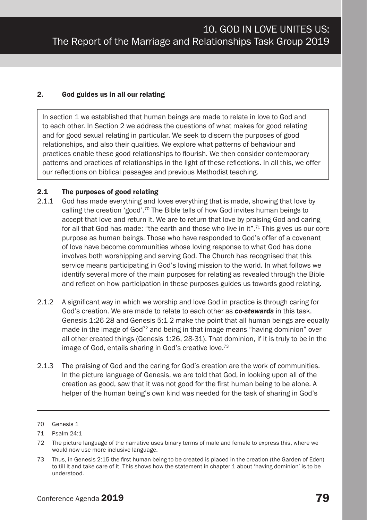#### 2. God guides us in all our relating

In section 1 we established that human beings are made to relate in love to God and to each other. In Section 2 we address the questions of what makes for good relating and for good sexual relating in particular. We seek to discern the purposes of good relationships, and also their qualities. We explore what patterns of behaviour and practices enable these good relationships to flourish. We then consider contemporary patterns and practices of relationships in the light of these reflections. In all this, we offer our reflections on biblical passages and previous Methodist teaching.

#### 2.1 The purposes of good relating

- 2.1.1 God has made everything and loves everything that is made, showing that love by calling the creation 'good'.70 The Bible tells of how God invites human beings to accept that love and return it. We are to return that love by praising God and caring for all that God has made: "the earth and those who live in it".<sup>71</sup> This gives us our core purpose as human beings. Those who have responded to God's offer of a covenant of love have become communities whose loving response to what God has done involves both worshipping and serving God. The Church has recognised that this service means participating in God's loving mission to the world. In what follows we identify several more of the main purposes for relating as revealed through the Bible and reflect on how participation in these purposes guides us towards good relating.
- 2.1.2 A significant way in which we worship and love God in practice is through caring for God's creation. We are made to relate to each other as *co-stewards* in this task. Genesis 1:26-28 and Genesis 5:1-2 make the point that all human beings are equally made in the image of  $God<sup>72</sup>$  and being in that image means "having dominion" over all other created things (Genesis 1:26, 28-31). That dominion, if it is truly to be in the image of God, entails sharing in God's creative love.73
- 2.1.3 The praising of God and the caring for God's creation are the work of communities. In the picture language of Genesis, we are told that God, in looking upon all of the creation as good, saw that it was not good for the first human being to be alone. A helper of the human being's own kind was needed for the task of sharing in God's

<sup>70</sup> Genesis 1

<sup>71</sup> Psalm 24:1

<sup>72</sup> The picture language of the narrative uses binary terms of male and female to express this, where we would now use more inclusive language.

<sup>73</sup> Thus, in Genesis 2:15 the first human being to be created is placed in the creation (the Garden of Eden) to till it and take care of it. This shows how the statement in chapter 1 about 'having dominion' is to be understood.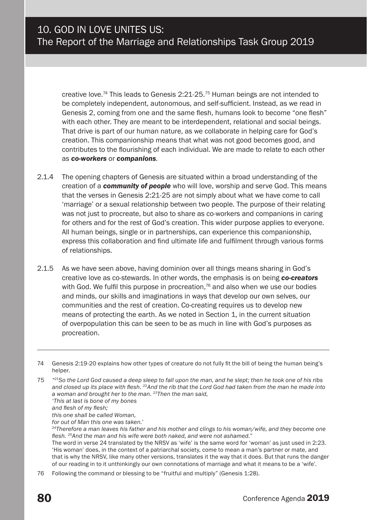creative love.<sup>74</sup> This leads to Genesis  $2:21-25$ .<sup>75</sup> Human beings are not intended to be completely independent, autonomous, and self-sufficient. Instead, as we read in Genesis 2, coming from one and the same flesh, humans look to become "one flesh" with each other. They are meant to be interdependent, relational and social beings. That drive is part of our human nature, as we collaborate in helping care for God's creation. This companionship means that what was not good becomes good, and contributes to the flourishing of each individual. We are made to relate to each other as *co-workers* or *companions.*

- 2.1.4 The opening chapters of Genesis are situated within a broad understanding of the creation of a *community of people* who will love, worship and serve God. This means that the verses in Genesis 2:21-25 are not simply about what we have come to call 'marriage' or a sexual relationship between two people. The purpose of their relating was not just to procreate, but also to share as co-workers and companions in caring for others and for the rest of God's creation. This wider purpose applies to everyone. All human beings, single or in partnerships, can experience this companionship, express this collaboration and find ultimate life and fulfilment through various forms of relationships.
- 2.1.5 As we have seen above, having dominion over all things means sharing in God's creative love as co-stewards. In other words, the emphasis is on being *co-creators*  with God. We fulfil this purpose in procreation, $76$  and also when we use our bodies and minds, our skills and imaginations in ways that develop our own selves, our communities and the rest of creation. Co-creating requires us to develop new means of protecting the earth. As we noted in Section 1, in the current situation of overpopulation this can be seen to be as much in line with God's purposes as procreation.

*this one shall be called Woman,*

*for out of Man this one was taken.'*

<sup>74</sup> Genesis 2:19-20 explains how other types of creature do not fully fit the bill of being the human being's helper.

<sup>75</sup> *"21So the Lord God caused a deep sleep to fall upon the man, and he slept; then he took one of his ribs and closed up its place with flesh. 22And the rib that the Lord God had taken from the man he made into a woman and brought her to the man. 23Then the man said, 'This at last is bone of my bones*

*and flesh of my flesh;*

*<sup>24</sup>Therefore a man leaves his father and his mother and clings to his woman/wife, and they become one flesh. 25And the man and his wife were both naked, and were not ashamed."*

The word in verse 24 translated by the NRSV as 'wife' is the same word for 'woman' as just used in 2:23. 'His woman' does, in the context of a patriarchal society, come to mean a man's partner or mate, and that is why the NRSV, like many other versions, translates it the way that it does. But that runs the danger of our reading in to it unthinkingly our own connotations of marriage and what it means to be a 'wife'.

<sup>76</sup> Following the command or blessing to be "fruitful and multiply" (Genesis 1:28).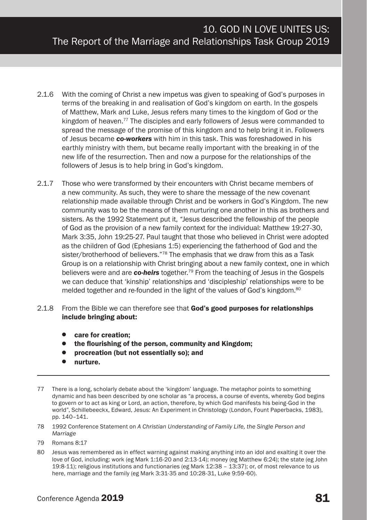- 2.1.6 With the coming of Christ a new impetus was given to speaking of God's purposes in terms of the breaking in and realisation of God's kingdom on earth. In the gospels of Matthew, Mark and Luke, Jesus refers many times to the kingdom of God or the kingdom of heaven.<sup>77</sup> The disciples and early followers of Jesus were commanded to spread the message of the promise of this kingdom and to help bring it in. Followers of Jesus became *co-workers* with him in this task. This was foreshadowed in his earthly ministry with them, but became really important with the breaking in of the new life of the resurrection. Then and now a purpose for the relationships of the followers of Jesus is to help bring in God's kingdom.
- 2.1.7 Those who were transformed by their encounters with Christ became members of a new community. As such, they were to share the message of the new covenant relationship made available through Christ and be workers in God's Kingdom. The new community was to be the means of them nurturing one another in this as brothers and sisters. As the 1992 Statement put it, *"*Jesus described the fellowship of the people of God as the provision of a new family context for the individual: Matthew 19:27-30, Mark 3:35, John 19:25-27. Paul taught that those who believed in Christ were adopted as the children of God (Ephesians 1:5) experiencing the fatherhood of God and the sister/brotherhood of believers."<sup>78</sup> The emphasis that we draw from this as a Task Group is on a relationship with Christ bringing about a new family context, one in which believers were and are *co-heirs* together.79 From the teaching of Jesus in the Gospels we can deduce that 'kinship' relationships and 'discipleship' relationships were to be melded together and re-founded in the light of the values of God's kingdom.<sup>80</sup>
- 2.1.8 From the Bible we can therefore see that God's good purposes for relationships include bringing about:
	- care for creation:
	- the flourishing of the person, community and Kingdom;
	- procreation (but not essentially so); and
	- nurture.
- 77 There is a long, scholarly debate about the 'kingdom' language. The metaphor points to something dynamic and has been described by one scholar as "a process, a course of events, whereby God begins to govern or to act as king or Lord, an action, therefore, by which God manifests his being-God in the world", Schillebeeckx, Edward, Jesus: An Experiment in Christology (London, Fount Paperbacks, 1983), pp. 140–141.
- 78 1992 Conference Statement on *A Christian Understanding of Family Life, the Single Person and Marriage*
- 79 Romans 8:17
- 80 Jesus was remembered as in effect warning against making anything into an idol and exalting it over the love of God, including: work (eg Mark 1:16-20 and 2:13-14); money (eg Matthew 6:24); the state (eg John 19:8-11); religious institutions and functionaries (eg Mark 12:38 – 13:37); or, of most relevance to us here, marriage and the family (eg Mark 3:31-35 and 10:28-31, Luke 9:59-60).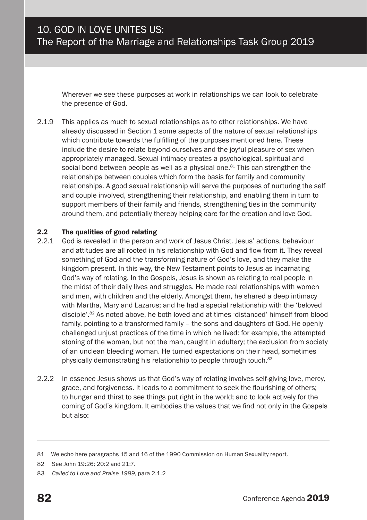Wherever we see these purposes at work in relationships we can look to celebrate the presence of God.

2.1.9 This applies as much to sexual relationships as to other relationships. We have already discussed in Section 1 some aspects of the nature of sexual relationships which contribute towards the fulfilling of the purposes mentioned here. These include the desire to relate beyond ourselves and the joyful pleasure of sex when appropriately managed. Sexual intimacy creates a psychological, spiritual and social bond between people as well as a physical one.<sup>81</sup> This can strengthen the relationships between couples which form the basis for family and community relationships. A good sexual relationship will serve the purposes of nurturing the self and couple involved, strengthening their relationship, and enabling them in turn to support members of their family and friends, strengthening ties in the community around them, and potentially thereby helping care for the creation and love God.

#### 2.2 The qualities of good relating

- 2.2.1 God is revealed in the person and work of Jesus Christ. Jesus' actions, behaviour and attitudes are all rooted in his relationship with God and flow from it. They reveal something of God and the transforming nature of God's love, and they make the kingdom present. In this way, the New Testament points to Jesus as incarnating God's way of relating. In the Gospels, Jesus is shown as relating to real people in the midst of their daily lives and struggles. He made real relationships with women and men, with children and the elderly. Amongst them, he shared a deep intimacy with Martha, Mary and Lazarus; and he had a special relationship with the 'beloved disciple'.82 As noted above, he both loved and at times 'distanced' himself from blood family, pointing to a transformed family – the sons and daughters of God. He openly challenged unjust practices of the time in which he lived: for example, the attempted stoning of the woman, but not the man, caught in adultery; the exclusion from society of an unclean bleeding woman. He turned expectations on their head, sometimes physically demonstrating his relationship to people through touch.<sup>83</sup>
- 2.2.2 In essence Jesus shows us that God's way of relating involves self-giving love, mercy, grace, and forgiveness. It leads to a commitment to seek the flourishing of others; to hunger and thirst to see things put right in the world; and to look actively for the coming of God's kingdom. It embodies the values that we find not only in the Gospels but also:

<sup>81</sup> We echo here paragraphs 15 and 16 of the 1990 Commission on Human Sexuality report.

<sup>82</sup> See John 19:26; 20:2 and 21:7.

<sup>83</sup> *Called to Love and Praise 1999*, para 2.1.2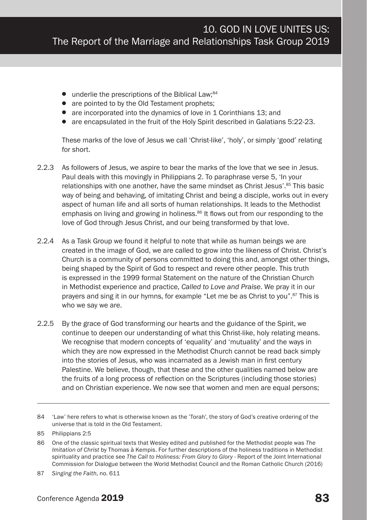- $\bullet$  underlie the prescriptions of the Biblical Law;<sup>84</sup>
- are pointed to by the Old Testament prophets:
- are incorporated into the dynamics of love in 1 Corinthians 13; and
- are encapsulated in the fruit of the Holy Spirit described in Galatians 5:22-23.

These marks of the love of Jesus we call 'Christ-like', 'holy', or simply 'good' relating for short.

- 2.2.3 As followers of Jesus, we aspire to bear the marks of the love that we see in Jesus. Paul deals with this movingly in Philippians 2. To paraphrase verse 5, 'In your relationships with one another, have the same mindset as Christ Jesus'.<sup>85</sup> This basic way of being and behaving, of imitating Christ and being a disciple, works out in every aspect of human life and all sorts of human relationships. It leads to the Methodist emphasis on living and growing in holiness.<sup>86</sup> It flows out from our responding to the love of God through Jesus Christ, and our being transformed by that love.
- 2.2.4 As a Task Group we found it helpful to note that while as human beings we are created in the image of God, we are called to grow into the likeness of Christ. Christ's Church is a community of persons committed to doing this and, amongst other things, being shaped by the Spirit of God to respect and revere other people. This truth is expressed in the 1999 formal Statement on the nature of the Christian Church in Methodist experience and practice, *Called to Love and Praise*. We pray it in our prayers and sing it in our hymns, for example "Let me be as Christ to you".<sup>87</sup> This is who we say we are.
- 2.2.5 By the grace of God transforming our hearts and the guidance of the Spirit, we continue to deepen our understanding of what this Christ-like, holy relating means. We recognise that modern concepts of 'equality' and 'mutuality' and the ways in which they are now expressed in the Methodist Church cannot be read back simply into the stories of Jesus, who was incarnated as a Jewish man in first century Palestine. We believe, though, that these and the other qualities named below are the fruits of a long process of reflection on the Scriptures (including those stories) and on Christian experience. We now see that women and men are equal persons;

<sup>84</sup> 'Law' here refers to what is otherwise known as the 'Torah', the story of God's creative ordering of the universe that is told in the Old Testament.

<sup>85</sup> Philippians 2:5

<sup>86</sup> One of the classic spiritual texts that Wesley edited and published for the Methodist people was *The Imitation of Christ* by Thomas à Kempis. For further descriptions of the holiness traditions in Methodist spirituality and practice see *The Call to Holiness: From Glory to Glory* - Report of the Joint International Commission for Dialogue between the World Methodist Council and the Roman Catholic Church (2016)

<sup>87</sup> *Singing the Faith*, no. 611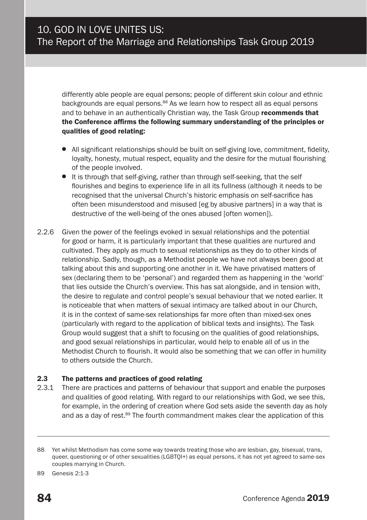differently able people are equal persons; people of different skin colour and ethnic backgrounds are equal persons.<sup>88</sup> As we learn how to respect all as equal persons and to behave in an authentically Christian way, the Task Group recommends that the Conference affirms the following summary understanding of the principles or qualities of good relating:

- All significant relationships should be built on self-giving love, commitment, fidelity, loyalty, honesty, mutual respect, equality and the desire for the mutual flourishing of the people involved.
- It is through that self-giving, rather than through self-seeking, that the self flourishes and begins to experience life in all its fullness (although it needs to be recognised that the universal Church's historic emphasis on self-sacrifice has often been misunderstood and misused [eg by abusive partners] in a way that is destructive of the well-being of the ones abused [often women]).
- 2.2.6 Given the power of the feelings evoked in sexual relationships and the potential for good or harm, it is particularly important that these qualities are nurtured and cultivated. They apply as much to sexual relationships as they do to other kinds of relationship. Sadly, though, as a Methodist people we have not always been good at talking about this and supporting one another in it. We have privatised matters of sex (declaring them to be 'personal') and regarded them as happening in the 'world' that lies outside the Church's overview. This has sat alongside, and in tension with, the desire to regulate and control people's sexual behaviour that we noted earlier. It is noticeable that when matters of sexual intimacy are talked about in our Church, it is in the context of same-sex relationships far more often than mixed-sex ones (particularly with regard to the application of biblical texts and insights). The Task Group would suggest that a shift to focusing on the qualities of good relationships, and good sexual relationships in particular, would help to enable all of us in the Methodist Church to flourish. It would also be something that we can offer in humility to others outside the Church.

#### 2.3 The patterns and practices of good relating

2.3.1 There are practices and patterns of behaviour that support and enable the purposes and qualities of good relating. With regard to our relationships with God, we see this, for example, in the ordering of creation where God sets aside the seventh day as holy and as a day of rest.<sup>89</sup> The fourth commandment makes clear the application of this

<sup>88</sup> Yet whilst Methodism has come some way towards treating those who are lesbian, gay, bisexual, trans, queer, questioning or of other sexualities (LGBTQI+) as equal persons, it has not yet agreed to same-sex couples marrying in Church.

<sup>89</sup> Genesis 2:1-3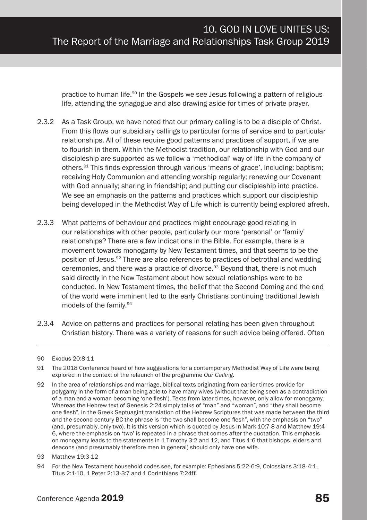practice to human life.90 In the Gospels we see Jesus following a pattern of religious life, attending the synagogue and also drawing aside for times of private prayer.

- 2.3.2 As a Task Group, we have noted that our primary calling is to be a disciple of Christ. From this flows our subsidiary callings to particular forms of service and to particular relationships. All of these require good patterns and practices of support, if we are to flourish in them. Within the Methodist tradition, our relationship with God and our discipleship are supported as we follow a 'methodical' way of life in the company of others.91 This finds expression through various 'means of grace', including: baptism; receiving Holy Communion and attending worship regularly; renewing our Covenant with God annually; sharing in friendship; and putting our discipleship into practice. We see an emphasis on the patterns and practices which support our discipleship being developed in the Methodist Way of Life which is currently being explored afresh.
- 2.3.3 What patterns of behaviour and practices might encourage good relating in our relationships with other people, particularly our more 'personal' or 'family' relationships? There are a few indications in the Bible. For example, there is a movement towards monogamy by New Testament times, and that seems to be the position of Jesus.92 There are also references to practices of betrothal and wedding ceremonies, and there was a practice of divorce.<sup>93</sup> Beyond that, there is not much said directly in the New Testament about how sexual relationships were to be conducted. In New Testament times, the belief that the Second Coming and the end of the world were imminent led to the early Christians continuing traditional Jewish models of the family.94
- 2.3.4 Advice on patterns and practices for personal relating has been given throughout Christian history. There was a variety of reasons for such advice being offered. Often

<sup>90</sup> Exodus 20:8-11

<sup>91</sup> The 2018 Conference heard of how suggestions for a contemporary Methodist Way of Life were being explored in the context of the relaunch of the programme *Our Calling.* 

<sup>92</sup> In the area of relationships and marriage, biblical texts originating from earlier times provide for polygamy in the form of a man being able to have many wives (without that being seen as a contradiction of a man and a woman becoming 'one flesh'). Texts from later times, however, only allow for monogamy. Whereas the Hebrew text of Genesis 2:24 simply talks of "man" and "woman", and "they shall become one flesh", in the Greek Septuagint translation of the Hebrew Scriptures that was made between the third and the second century BC the phrase is "the two shall become one flesh", with the emphasis on "two" (and, presumably, only two). It is this version which is quoted by Jesus in Mark 10:7-8 and Matthew 19:4- 6, where the emphasis on 'two' is repeated in a phrase that comes after the quotation. This emphasis on monogamy leads to the statements in 1 Timothy 3:2 and 12, and Titus 1:6 that bishops, elders and deacons (and presumably therefore men in general) should only have one wife.

<sup>93</sup> Matthew 19:3-12

<sup>94</sup> For the New Testament household codes see, for example: Ephesians 5:22-6:9, Colossians 3:18-4:1, Titus 2:1-10, 1 Peter 2:13-3:7 and 1 Corinthians 7:24ff.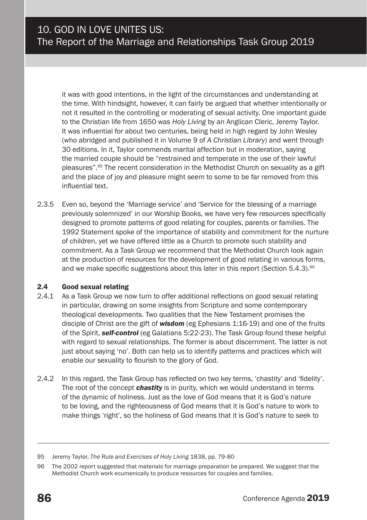it was with good intentions, in the light of the circumstances and understanding at the time. With hindsight, however, it can fairly be argued that whether intentionally or not it resulted in the controlling or moderating of sexual activity. One important guide to the Christian life from 1650 was *Holy Living* by an Anglican Cleric, Jeremy Taylor. It was influential for about two centuries, being held in high regard by John Wesley (who abridged and published it in Volume 9 of *A Christian Library*) and went through 30 editions. In it, Taylor commends marital affection but in moderation, saying the married couple should be "restrained and temperate in the use of their lawful pleasures".95 The recent consideration in the Methodist Church on sexuality as a gift and the place of joy and pleasure might seem to some to be far removed from this influential text.

2.3.5 Even so, beyond the 'Marriage service' and 'Service for the blessing of a marriage previously solemnized' in our Worship Books, we have very few resources specifically designed to promote patterns of good relating for couples, parents or families. The 1992 Statement spoke of the importance of stability and commitment for the nurture of children, yet we have offered little as a Church to promote such stability and commitment. As a Task Group we recommend that the Methodist Church look again at the production of resources for the development of good relating in various forms, and we make specific suggestions about this later in this report (Section 5.4.3).<sup>96</sup>

#### 2.4 Good sexual relating

- 2.4.1 As a Task Group we now turn to offer additional reflections on good sexual relating in particular, drawing on some insights from Scripture and some contemporary theological developments. Two qualities that the New Testament promises the disciple of Christ are the gift of *wisdom* (eg Ephesians 1:16-19) and one of the fruits of the Spirit, *self-control* (eg Galatians 5:22-23). The Task Group found these helpful with regard to sexual relationships. The former is about discernment. The latter is not just about saying 'no'. Both can help us to identify patterns and practices which will enable our sexuality to flourish to the glory of God.
- 2.4.2 In this regard, the Task Group has reflected on two key terms, 'chastity' and 'fidelity'. The root of the concept *chastity* is in purity, which we would understand in terms of the dynamic of holiness. Just as the love of God means that it is God's nature to be loving, and the righteousness of God means that it is God's nature to work to make things 'right', so the holiness of God means that it is God's nature to seek to

<sup>95</sup> Jeremy Taylor, *The Rule and Exercises of Holy Living* 1838, pp. 79-80

<sup>96</sup> The 2002 report suggested that materials for marriage preparation be prepared. We suggest that the Methodist Church work ecumenically to produce resources for couples and families.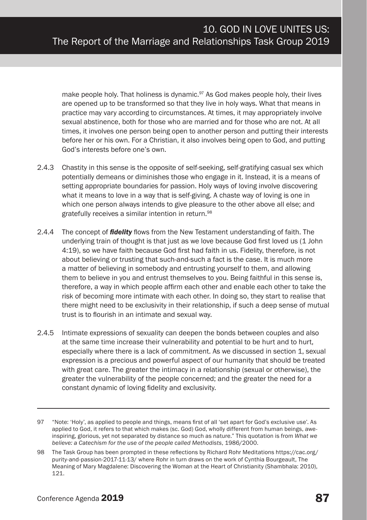make people holy. That holiness is dynamic.<sup>97</sup> As God makes people holy, their lives are opened up to be transformed so that they live in holy ways. What that means in practice may vary according to circumstances. At times, it may appropriately involve sexual abstinence, both for those who are married and for those who are not. At all times, it involves one person being open to another person and putting their interests before her or his own. For a Christian, it also involves being open to God, and putting God's interests before one's own.

- 2.4.3 Chastity in this sense is the opposite of self-seeking, self-gratifying casual sex which potentially demeans or diminishes those who engage in it. Instead, it is a means of setting appropriate boundaries for passion. Holy ways of loving involve discovering what it means to love in a way that is self-giving. A chaste way of loving is one in which one person always intends to give pleasure to the other above all else; and gratefully receives a similar intention in return.98
- 2.4.4 The concept of *fidelity* flows from the New Testament understanding of faith. The underlying train of thought is that just as we love because God first loved us (1 John 4:19), so we have faith because God first had faith in us. Fidelity, therefore, is not about believing or trusting that such-and-such a fact is the case. It is much more a matter of believing in somebody and entrusting yourself to them, and allowing them to believe in you and entrust themselves to you. Being faithful in this sense is, therefore, a way in which people affirm each other and enable each other to take the risk of becoming more intimate with each other. In doing so, they start to realise that there might need to be exclusivity in their relationship, if such a deep sense of mutual trust is to flourish in an intimate and sexual way.
- 2.4.5 Intimate expressions of sexuality can deepen the bonds between couples and also at the same time increase their vulnerability and potential to be hurt and to hurt, especially where there is a lack of commitment. As we discussed in section 1, sexual expression is a precious and powerful aspect of our humanity that should be treated with great care. The greater the intimacy in a relationship (sexual or otherwise), the greater the vulnerability of the people concerned; and the greater the need for a constant dynamic of loving fidelity and exclusivity.

<sup>97</sup> "Note: 'Holy', as applied to people and things, means first of all 'set apart for God's exclusive use'. As applied to God, it refers to that which makes (sc. God) God, wholly different from human beings, aweinspiring, glorious, yet not separated by distance so much as nature." This quotation is from *What we believe: a Catechism for the use of the people called Methodists*, 1986/2000.

<sup>98</sup> The Task Group has been prompted in these reflections by Richard Rohr Meditations https://cac.org/ purity-and-passion-2017-11-13/ where Rohr in turn draws on the work of Cynthia Bourgeault, The Meaning of Mary Magdalene: Discovering the Woman at the Heart of Christianity (Shambhala: 2010), 121.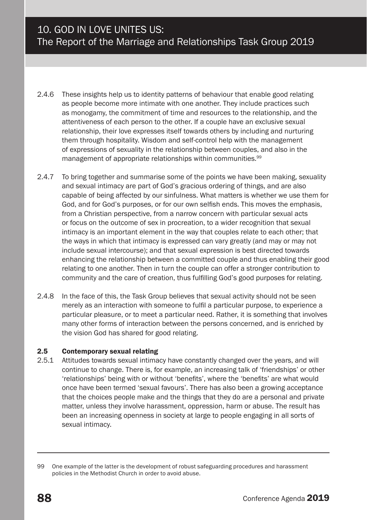- 2.4.6 These insights help us to identity patterns of behaviour that enable good relating as people become more intimate with one another. They include practices such as monogamy, the commitment of time and resources to the relationship, and the attentiveness of each person to the other. If a couple have an exclusive sexual relationship, their love expresses itself towards others by including and nurturing them through hospitality. Wisdom and self-control help with the management of expressions of sexuality in the relationship between couples, and also in the management of appropriate relationships within communities.<sup>99</sup>
- 2.4.7 To bring together and summarise some of the points we have been making, sexuality and sexual intimacy are part of God's gracious ordering of things, and are also capable of being affected by our sinfulness. What matters is whether we use them for God, and for God's purposes, or for our own selfish ends. This moves the emphasis, from a Christian perspective, from a narrow concern with particular sexual acts or focus on the outcome of sex in procreation, to a wider recognition that sexual intimacy is an important element in the way that couples relate to each other; that the ways in which that intimacy is expressed can vary greatly (and may or may not include sexual intercourse); and that sexual expression is best directed towards enhancing the relationship between a committed couple and thus enabling their good relating to one another. Then in turn the couple can offer a stronger contribution to community and the care of creation, thus fulfilling God's good purposes for relating.
- 2.4.8 In the face of this, the Task Group believes that sexual activity should not be seen merely as an interaction with someone to fulfil a particular purpose, to experience a particular pleasure, or to meet a particular need. Rather, it is something that involves many other forms of interaction between the persons concerned, and is enriched by the vision God has shared for good relating.

#### 2.5 Contemporary sexual relating

2.5.1 Attitudes towards sexual intimacy have constantly changed over the years, and will continue to change. There is, for example, an increasing talk of 'friendships' or other 'relationships' being with or without 'benefits', where the 'benefits' are what would once have been termed 'sexual favours'. There has also been a growing acceptance that the choices people make and the things that they do are a personal and private matter, unless they involve harassment, oppression, harm or abuse. The result has been an increasing openness in society at large to people engaging in all sorts of sexual intimacy.

<sup>99</sup> One example of the latter is the development of robust safeguarding procedures and harassment policies in the Methodist Church in order to avoid abuse.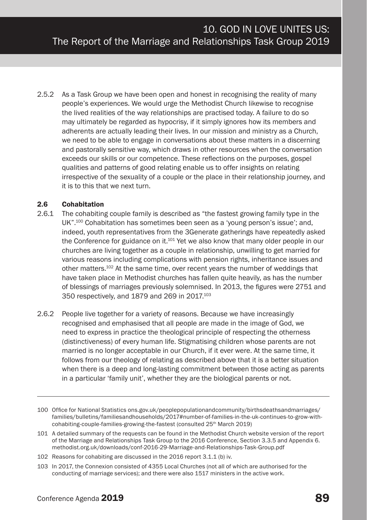2.5.2 As a Task Group we have been open and honest in recognising the reality of many people's experiences. We would urge the Methodist Church likewise to recognise the lived realities of the way relationships are practised today. A failure to do so may ultimately be regarded as hypocrisy, if it simply ignores how its members and adherents are actually leading their lives. In our mission and ministry as a Church, we need to be able to engage in conversations about these matters in a discerning and pastorally sensitive way, which draws in other resources when the conversation exceeds our skills or our competence. These reflections on the purposes, gospel qualities and patterns of good relating enable us to offer insights on relating irrespective of the sexuality of a couple or the place in their relationship journey, and it is to this that we next turn.

#### 2.6 Cohabitation

- 2.6.1 The cohabiting couple family is described as "the fastest growing family type in the UK".100 Cohabitation has sometimes been seen as a 'young person's issue'; and, indeed, youth representatives from the 3Generate gatherings have repeatedly asked the Conference for guidance on it.<sup>101</sup> Yet we also know that many older people in our churches are living together as a couple in relationship, unwilling to get married for various reasons including complications with pension rights, inheritance issues and other matters.102 At the same time, over recent years the number of weddings that have taken place in Methodist churches has fallen quite heavily, as has the number of blessings of marriages previously solemnised. In 2013, the figures were 2751 and 350 respectively, and 1879 and 269 in 2017.103
- 2.6.2 People live together for a variety of reasons. Because we have increasingly recognised and emphasised that all people are made in the image of God, we need to express in practice the theological principle of respecting the otherness (distinctiveness) of every human life. Stigmatising children whose parents are not married is no longer acceptable in our Church, if it ever were. At the same time, it follows from our theology of relating as described above that it is a better situation when there is a deep and long-lasting commitment between those acting as parents in a particular 'family unit', whether they are the biological parents or not.

<sup>100</sup> Office for National Statistics ons.gov.uk/peoplepopulationandcommunity/birthsdeathsandmarriages/ families/bulletins/familiesandhouseholds/2017#number-of-families-in-the-uk-continues-to-grow-withcohabiting-couple-families-growing-the-fastest (consulted 25<sup>th</sup> March 2019)

<sup>101</sup> A detailed summary of the requests can be found in the Methodist Church website version of the report of the Marriage and Relationships Task Group to the 2016 Conference, Section 3.3.5 and Appendix 6. methodist.org.uk/downloads/conf-2016-29-Marriage-and-Relationships-Task-Group.pdf

<sup>102</sup> Reasons for cohabiting are discussed in the 2016 report 3.1.1 (b) iv.

<sup>103</sup> In 2017, the Connexion consisted of 4355 Local Churches (not all of which are authorised for the conducting of marriage services); and there were also 1517 ministers in the active work.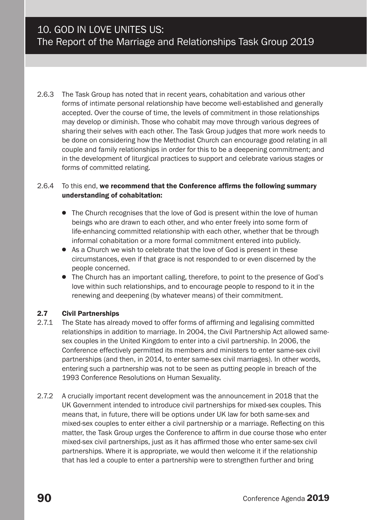2.6.3 The Task Group has noted that in recent years, cohabitation and various other forms of intimate personal relationship have become well-established and generally accepted. Over the course of time, the levels of commitment in those relationships may develop or diminish. Those who cohabit may move through various degrees of sharing their selves with each other. The Task Group judges that more work needs to be done on considering how the Methodist Church can encourage good relating in all couple and family relationships in order for this to be a deepening commitment; and in the development of liturgical practices to support and celebrate various stages or forms of committed relating.

#### 2.6.4 To this end, we recommend that the Conference affirms the following summary understanding of cohabitation:

- The Church recognises that the love of God is present within the love of human beings who are drawn to each other, and who enter freely into some form of life-enhancing committed relationship with each other, whether that be through informal cohabitation or a more formal commitment entered into publicly.
- As a Church we wish to celebrate that the love of God is present in these circumstances, even if that grace is not responded to or even discerned by the people concerned.
- The Church has an important calling, therefore, to point to the presence of God's love within such relationships, and to encourage people to respond to it in the renewing and deepening (by whatever means) of their commitment.

# **2.7 Civil Partnerships**<br> $2.71$  The State has alrea

- 2.7.1 The State has already moved to offer forms of affirming and legalising committed relationships in addition to marriage. In 2004, the Civil Partnership Act allowed samesex couples in the United Kingdom to enter into a civil partnership. In 2006, the Conference effectively permitted its members and ministers to enter same-sex civil partnerships (and then, in 2014, to enter same-sex civil marriages). In other words, entering such a partnership was not to be seen as putting people in breach of the 1993 Conference Resolutions on Human Sexuality.
- 2.7.2 A crucially important recent development was the announcement in 2018 that the UK Government intended to introduce civil partnerships for mixed-sex couples. This means that, in future, there will be options under UK law for both same-sex and mixed-sex couples to enter either a civil partnership or a marriage. Reflecting on this matter, the Task Group urges the Conference to affirm in due course those who enter mixed-sex civil partnerships, just as it has affirmed those who enter same-sex civil partnerships. Where it is appropriate, we would then welcome it if the relationship that has led a couple to enter a partnership were to strengthen further and bring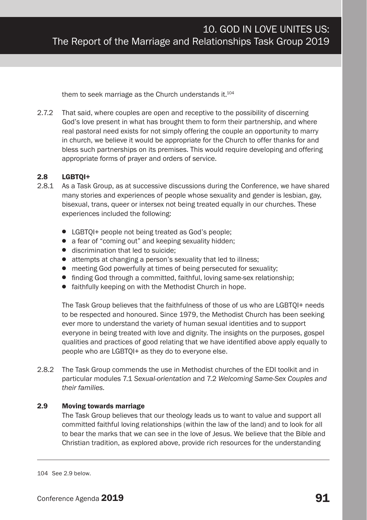them to seek marriage as the Church understands it.<sup>104</sup>

2.7.2 That said, where couples are open and receptive to the possibility of discerning God's love present in what has brought them to form their partnership, and where real pastoral need exists for not simply offering the couple an opportunity to marry in church, we believe it would be appropriate for the Church to offer thanks for and bless such partnerships on its premises. This would require developing and offering appropriate forms of prayer and orders of service.

#### 2.8 LGBTQI+

- 2.8.1 As a Task Group, as at successive discussions during the Conference, we have shared many stories and experiences of people whose sexuality and gender is lesbian, gay, bisexual, trans, queer or intersex not being treated equally in our churches. These experiences included the following:
	- LGBTOI+ people not being treated as God's people;
	- a fear of "coming out" and keeping sexuality hidden;
	- discrimination that led to suicide:
	- attempts at changing a person's sexuality that led to illness;
	- meeting God powerfully at times of being persecuted for sexuality;
	- finding God through a committed, faithful, loving same-sex relationship;
	- faithfully keeping on with the Methodist Church in hope.

The Task Group believes that the faithfulness of those of us who are LGBTOI+ needs to be respected and honoured. Since 1979, the Methodist Church has been seeking ever more to understand the variety of human sexual identities and to support everyone in being treated with love and dignity. The insights on the purposes, gospel qualities and practices of good relating that we have identified above apply equally to people who are LGBTQI+ as they do to everyone else.

2.8.2 The Task Group commends the use in Methodist churches of the EDI toolkit and in particular modules 7.1 *Sexual-orientation* and 7.2 *Welcoming Same-Sex Couples and their families.*

#### 2.9 Moving towards marriage

The Task Group believes that our theology leads us to want to value and support all committed faithful loving relationships (within the law of the land) and to look for all to bear the marks that we can see in the love of Jesus. We believe that the Bible and Christian tradition, as explored above, provide rich resources for the understanding

<sup>104</sup> See 2.9 below.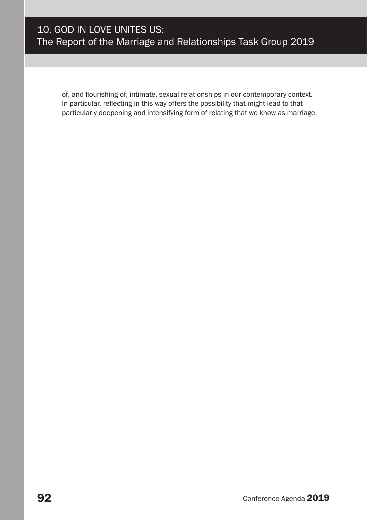of, and flourishing of, intimate, sexual relationships in our contemporary context. In particular, reflecting in this way offers the possibility that might lead to that particularly deepening and intensifying form of relating that we know as marriage.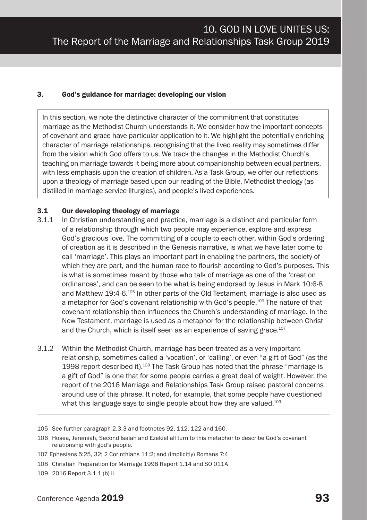#### 3. God's guidance for marriage: developing our vision

In this section, we note the distinctive character of the commitment that constitutes marriage as the Methodist Church understands it. We consider how the important concepts of covenant and grace have particular application to it. We highlight the potentially enriching character of marriage relationships, recognising that the lived reality may sometimes differ from the vision which God offers to us. We track the changes in the Methodist Church's teaching on marriage towards it being more about companionship between equal partners, with less emphasis upon the creation of children. As a Task Group, we offer our reflections upon a theology of marriage based upon our reading of the Bible, Methodist theology (as distilled in marriage service liturgies), and people's lived experiences.

#### 3.1 Our developing theology of marriage

- 3.1.1 In Christian understanding and practice, marriage is a distinct and particular form of a relationship through which two people may experience, explore and express God's gracious love. The committing of a couple to each other, within God's ordering of creation as it is described in the Genesis narrative, is what we have later come to call 'marriage'. This plays an important part in enabling the partners, the society of which they are part, and the human race to flourish according to God's purposes. This is what is sometimes meant by those who talk of marriage as one of the 'creation ordinances', and can be seen to be what is being endorsed by Jesus in Mark 10:6-8 and Matthew 19:4-6.105 In other parts of the Old Testament, marriage is also used as a metaphor for God's covenant relationship with God's people.106 The nature of that covenant relationship then influences the Church's understanding of marriage. In the New Testament, marriage is used as a metaphor for the relationship between Christ and the Church, which is itself seen as an experience of saving grace.107
- 3.1.2 Within the Methodist Church, marriage has been treated as a very important relationship, sometimes called a 'vocation', or 'calling', or even "a gift of God" (as the 1998 report described it).108 The Task Group has noted that the phrase "marriage is a gift of God" is one that for some people carries a great deal of weight. However, the report of the 2016 Marriage and Relationships Task Group raised pastoral concerns around use of this phrase. It noted, for example, that some people have questioned what this language says to single people about how they are valued.<sup>109</sup>

<sup>105</sup> See further paragraph 2.3.3 and footnotes 92, 112, 122 and 160.

<sup>106</sup> Hosea, Jeremiah, Second Isaiah and Ezekiel all turn to this metaphor to describe God's covenant relationship with god's people.

<sup>107</sup> Ephesians 5:25, 32; 2 Corinthians 11:2; and (implicitly) Romans 7:4

<sup>108</sup> Christian Preparation for Marriage 1998 Report 1.14 and SO 011A

<sup>109</sup> 2016 Report 3.1.1 (b) ii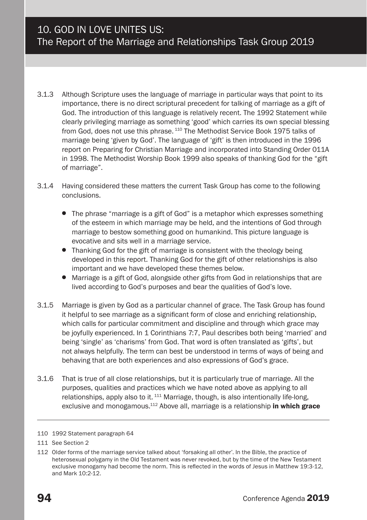- 3.1.3 Although Scripture uses the language of marriage in particular ways that point to its importance, there is no direct scriptural precedent for talking of marriage as a gift of God. The introduction of this language is relatively recent. The 1992 Statement while clearly privileging marriage as something 'good' which carries its own special blessing from God, does not use this phrase.<sup>110</sup> The Methodist Service Book 1975 talks of marriage being 'given by God'. The language of 'gift' is then introduced in the 1996 report on Preparing for Christian Marriage and incorporated into Standing Order 011A in 1998. The Methodist Worship Book 1999 also speaks of thanking God for the "gift of marriage".
- 3.1.4 Having considered these matters the current Task Group has come to the following conclusions.
	- The phrase "marriage is a gift of God" is a metaphor which expresses something of the esteem in which marriage may be held, and the intentions of God through marriage to bestow something good on humankind. This picture language is evocative and sits well in a marriage service.
	- Thanking God for the gift of marriage is consistent with the theology being developed in this report. Thanking God for the gift of other relationships is also important and we have developed these themes below.
	- Marriage is a gift of God, alongside other gifts from God in relationships that are lived according to God's purposes and bear the qualities of God's love.
- 3.1.5 Marriage is given by God as a particular channel of grace. The Task Group has found it helpful to see marriage as a significant form of close and enriching relationship, which calls for particular commitment and discipline and through which grace may be joyfully experienced. In 1 Corinthians 7:7, Paul describes both being 'married' and being 'single' as 'charisms' from God. That word is often translated as 'gifts', but not always helpfully. The term can best be understood in terms of ways of being and behaving that are both experiences and also expressions of God's grace.
- 3.1.6 That is true of all close relationships, but it is particularly true of marriage. All the purposes, qualities and practices which we have noted above as applying to all relationships, apply also to it.  $111$  Marriage, though, is also intentionally life-long, exclusive and monogamous.<sup>112</sup> Above all, marriage is a relationship in which grace

<sup>110</sup> 1992 Statement paragraph 64

<sup>111</sup> See Section 2

<sup>112</sup> Older forms of the marriage service talked about 'forsaking all other'. In the Bible, the practice of heterosexual polygamy in the Old Testament was never revoked, but by the time of the New Testament exclusive monogamy had become the norm. This is reflected in the words of Jesus in Matthew 19:3-12, and Mark 10:2-12.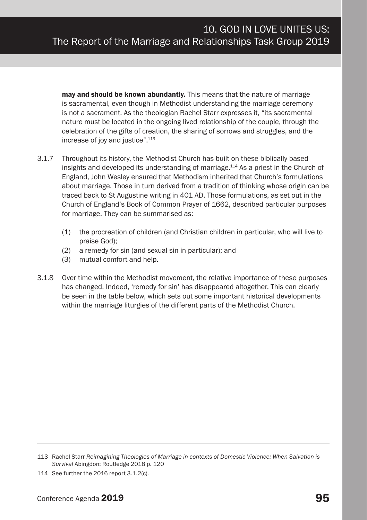mav and should be known abundantly. This means that the nature of marriage is sacramental, even though in Methodist understanding the marriage ceremony is not a sacrament. As the theologian Rachel Starr expresses it, "its sacramental nature must be located in the ongoing lived relationship of the couple, through the celebration of the gifts of creation, the sharing of sorrows and struggles, and the increase of joy and justice".113

- 3.1.7 Throughout its history, the Methodist Church has built on these biblically based insights and developed its understanding of marriage.<sup>114</sup> As a priest in the Church of England, John Wesley ensured that Methodism inherited that Church's formulations about marriage. Those in turn derived from a tradition of thinking whose origin can be traced back to St Augustine writing in 401 AD. Those formulations, as set out in the Church of England's Book of Common Prayer of 1662, described particular purposes for marriage. They can be summarised as:
	- (1) the procreation of children (and Christian children in particular, who will live to praise God);
	- (2) a remedy for sin (and sexual sin in particular); and
	- (3) mutual comfort and help.
- 3.1.8 Over time within the Methodist movement, the relative importance of these purposes has changed. Indeed, 'remedy for sin' has disappeared altogether. This can clearly be seen in the table below, which sets out some important historical developments within the marriage liturgies of the different parts of the Methodist Church.

<sup>113</sup> Rachel Starr *Reimagining Theologies of Marriage in contexts of Domestic Violence: When Salvation is Survival* Abingdon: Routledge 2018 p. 120

<sup>114</sup> See further the 2016 report 3.1.2(c).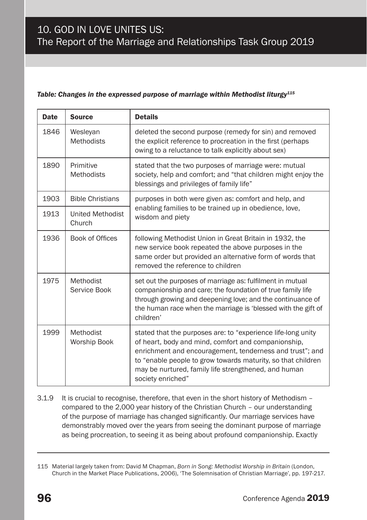#### *Table: Changes in the expressed purpose of marriage within Methodist liturgy115*

| <b>Date</b> | <b>Source</b>                     | <b>Details</b>                                                                                                                                                                                                                                                                                                               |
|-------------|-----------------------------------|------------------------------------------------------------------------------------------------------------------------------------------------------------------------------------------------------------------------------------------------------------------------------------------------------------------------------|
| 1846        | Wesleyan<br><b>Methodists</b>     | deleted the second purpose (remedy for sin) and removed<br>the explicit reference to procreation in the first (perhaps)<br>owing to a reluctance to talk explicitly about sex)                                                                                                                                               |
| 1890        | Primitive<br><b>Methodists</b>    | stated that the two purposes of marriage were: mutual<br>society, help and comfort; and "that children might enjoy the<br>blessings and privileges of family life"                                                                                                                                                           |
| 1903        | <b>Bible Christians</b>           | purposes in both were given as: comfort and help, and<br>enabling families to be trained up in obedience, love,<br>wisdom and piety                                                                                                                                                                                          |
| 1913        | <b>United Methodist</b><br>Church |                                                                                                                                                                                                                                                                                                                              |
| 1936        | <b>Book of Offices</b>            | following Methodist Union in Great Britain in 1932, the<br>new service book repeated the above purposes in the<br>same order but provided an alternative form of words that<br>removed the reference to children                                                                                                             |
| 1975        | Methodist<br>Service Book         | set out the purposes of marriage as: fulfilment in mutual<br>companionship and care; the foundation of true family life<br>through growing and deepening love; and the continuance of<br>the human race when the marriage is 'blessed with the gift of<br>children'                                                          |
| 1999        | Methodist<br>Worship Book         | stated that the purposes are: to "experience life-long unity<br>of heart, body and mind, comfort and companionship.<br>enrichment and encouragement, tenderness and trust"; and<br>to "enable people to grow towards maturity, so that children<br>may be nurtured, family life strengthened, and human<br>society enriched" |

3.1.9 It is crucial to recognise, therefore, that even in the short history of Methodism – compared to the 2,000 year history of the Christian Church – our understanding of the purpose of marriage has changed significantly. Our marriage services have demonstrably moved over the years from seeing the dominant purpose of marriage as being procreation, to seeing it as being about profound companionship. Exactly

<sup>115</sup> Material largely taken from: David M Chapman, *Born in Song: Methodist Worship in Britain* (London, Church in the Market Place Publications, 2006), 'The Solemnisation of Christian Marriage', pp. 197-217.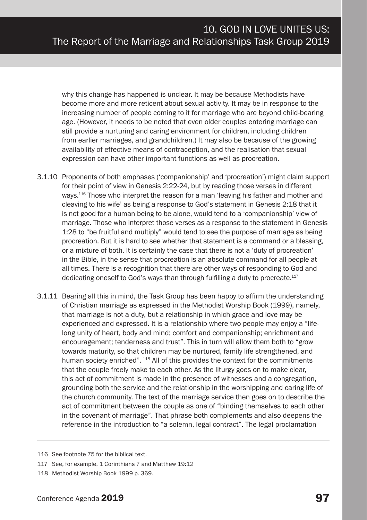why this change has happened is unclear. It may be because Methodists have become more and more reticent about sexual activity. It may be in response to the increasing number of people coming to it for marriage who are beyond child-bearing age. (However, it needs to be noted that even older couples entering marriage can still provide a nurturing and caring environment for children, including children from earlier marriages, and grandchildren.) It may also be because of the growing availability of effective means of contraception, and the realisation that sexual expression can have other important functions as well as procreation.

- 3.1.10 Proponents of both emphases ('companionship' and 'procreation') might claim support for their point of view in Genesis 2:22-24, but by reading those verses in different ways.116 Those who interpret the reason for a man 'leaving his father and mother and cleaving to his wife' as being a response to God's statement in Genesis 2:18 that it is not good for a human being to be alone, would tend to a 'companionship' view of marriage. Those who interpret those verses as a response to the statement in Genesis 1:28 to "be fruitful and multiply" would tend to see the purpose of marriage as being procreation. But it is hard to see whether that statement is a command or a blessing, or a mixture of both. It is certainly the case that there is not a 'duty of procreation' in the Bible, in the sense that procreation is an absolute command for all people at all times. There is a recognition that there are other ways of responding to God and dedicating oneself to God's ways than through fulfilling a duty to procreate. $117$
- 3.1.11 Bearing all this in mind, the Task Group has been happy to affirm the understanding of Christian marriage as expressed in the Methodist Worship Book (1999), namely, that marriage is not a duty, but a relationship in which grace and love may be experienced and expressed. It is a relationship where two people may enjoy a "lifelong unity of heart, body and mind; comfort and companionship; enrichment and encouragement; tenderness and trust". This in turn will allow them both to "grow towards maturity, so that children may be nurtured, family life strengthened, and human society enriched". <sup>118</sup> All of this provides the context for the commitments that the couple freely make to each other. As the liturgy goes on to make clear, this act of commitment is made in the presence of witnesses and a congregation, grounding both the service and the relationship in the worshipping and caring life of the church community. The text of the marriage service then goes on to describe the act of commitment between the couple as one of "binding themselves to each other in the covenant of marriage". That phrase both complements and also deepens the reference in the introduction to "a solemn, legal contract". The legal proclamation

<sup>116</sup> See footnote 75 for the biblical text.

<sup>117</sup> See, for example, 1 Corinthians 7 and Matthew 19:12

<sup>118</sup> Methodist Worship Book 1999 p. 369.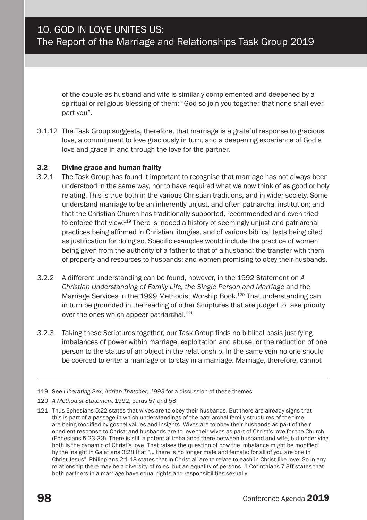of the couple as husband and wife is similarly complemented and deepened by a spiritual or religious blessing of them: "God so join you together that none shall ever part you".

3.1.12 The Task Group suggests, therefore, that marriage is a grateful response to gracious love, a commitment to love graciously in turn, and a deepening experience of God's love and grace in and through the love for the partner.

#### 3.2 Divine grace and human frailty

- 3.2.1 The Task Group has found it important to recognise that marriage has not always been understood in the same way, nor to have required what we now think of as good or holy relating. This is true both in the various Christian traditions, and in wider society. Some understand marriage to be an inherently unjust, and often patriarchal institution; and that the Christian Church has traditionally supported, recommended and even tried to enforce that view.<sup>119</sup> There is indeed a history of seemingly unjust and patriarchal practices being affirmed in Christian liturgies, and of various biblical texts being cited as justification for doing so. Specific examples would include the practice of women being given from the authority of a father to that of a husband; the transfer with them of property and resources to husbands; and women promising to obey their husbands.
- 3.2.2 A different understanding can be found, however, in the 1992 Statement on *A Christian Understanding of Family Life, the Single Person and Marriage* and the Marriage Services in the 1999 Methodist Worship Book.<sup>120</sup> That understanding can in turn be grounded in the reading of other Scriptures that are judged to take priority over the ones which appear patriarchal.<sup>121</sup>
- 3.2.3 Taking these Scriptures together, our Task Group finds no biblical basis justifying imbalances of power within marriage, exploitation and abuse, or the reduction of one person to the status of an object in the relationship. In the same vein no one should be coerced to enter a marriage or to stay in a marriage. Marriage, therefore, cannot

120 *A Methodist Statement* 1992, paras 57 and 58

<sup>119</sup> See *Liberating Sex, Adrian Thatcher, 1993* for a discussion of these themes

<sup>121</sup> Thus Ephesians 5:22 states that wives are to obey their husbands. But there are already signs that this is part of a passage in which understandings of the patriarchal family structures of the time are being modified by gospel values and insights. Wives are to obey their husbands as part of their obedient response to Christ; and husbands are to love their wives as part of Christ's love for the Church (Ephesians 5:23-33). There is still a potential imbalance there between husband and wife, but underlying both is the dynamic of Christ's love. That raises the question of how the imbalance might be modified by the insight in Galatians 3:28 that "… there is no longer male and female; for all of you are one in Christ Jesus". Philippians 2:1-18 states that in Christ all are to relate to each in Christ-like love. So in any relationship there may be a diversity of roles, but an equality of persons. 1 Corinthians 7:3ff states that both partners in a marriage have equal rights and responsibilities sexually.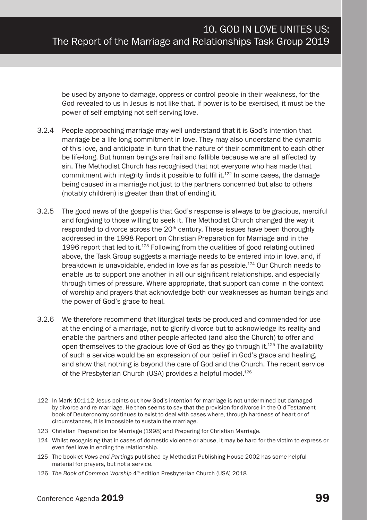be used by anyone to damage, oppress or control people in their weakness, for the God revealed to us in Jesus is not like that. If power is to be exercised, it must be the power of self-emptying not self-serving love.

- 3.2.4 People approaching marriage may well understand that it is God's intention that marriage be a life-long commitment in love. They may also understand the dynamic of this love, and anticipate in turn that the nature of their commitment to each other be life-long. But human beings are frail and fallible because we are all affected by sin. The Methodist Church has recognised that not everyone who has made that commitment with integrity finds it possible to fulfil it.<sup>122</sup> In some cases, the damage being caused in a marriage not just to the partners concerned but also to others (notably children) is greater than that of ending it.
- 3.2.5 The good news of the gospel is that God's response is always to be gracious, merciful and forgiving to those willing to seek it. The Methodist Church changed the way it responded to divorce across the  $20<sup>th</sup>$  century. These issues have been thoroughly addressed in the 1998 Report on Christian Preparation for Marriage and in the 1996 report that led to it. $123$  Following from the qualities of good relating outlined above, the Task Group suggests a marriage needs to be entered into in love, and, if breakdown is unavoidable, ended in love as far as possible.<sup>124</sup> Our Church needs to enable us to support one another in all our significant relationships, and especially through times of pressure. Where appropriate, that support can come in the context of worship and prayers that acknowledge both our weaknesses as human beings and the power of God's grace to heal.
- 3.2.6 We therefore recommend that liturgical texts be produced and commended for use at the ending of a marriage, not to glorify divorce but to acknowledge its reality and enable the partners and other people affected (and also the Church) to offer and open themselves to the gracious love of God as they go through it. $125$  The availability of such a service would be an expression of our belief in God's grace and healing, and show that nothing is beyond the care of God and the Church. The recent service of the Presbyterian Church (USA) provides a helpful model.<sup>126</sup>

<sup>122</sup> In Mark 10:1-12 Jesus points out how God's intention for marriage is not undermined but damaged by divorce and re-marriage. He then seems to say that the provision for divorce in the Old Testament book of Deuteronomy continues to exist to deal with cases where, through hardness of heart or of circumstances, it is impossible to sustain the marriage.

<sup>123</sup> Christian Preparation for Marriage (1998) and Preparing for Christian Marriage.

<sup>124</sup> Whilst recognising that in cases of domestic violence or abuse, it may be hard for the victim to express or even feel love in ending the relationship.

<sup>125</sup> The booklet *Vows and Partings* published by Methodist Publishing House 2002 has some helpful material for prayers, but not a service.

<sup>126</sup> *The Book of Common Worship* 4<sup>th</sup> edition Presbyterian Church (USA) 2018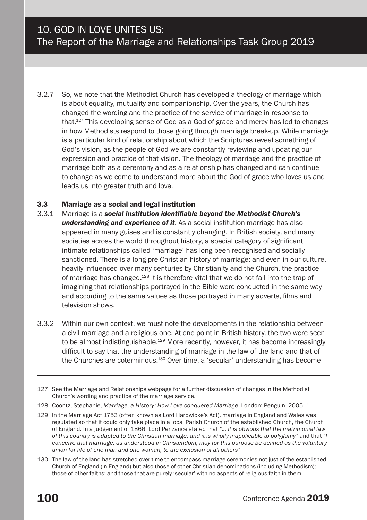3.2.7 So, we note that the Methodist Church has developed a theology of marriage which is about equality, mutuality and companionship. Over the years, the Church has changed the wording and the practice of the service of marriage in response to that.127 This developing sense of God as a God of grace and mercy has led to changes in how Methodists respond to those going through marriage break-up. While marriage is a particular kind of relationship about which the Scriptures reveal something of God's vision, as the people of God we are constantly reviewing and updating our expression and practice of that vision. The theology of marriage and the practice of marriage both as a ceremony and as a relationship has changed and can continue to change as we come to understand more about the God of grace who loves us and leads us into greater truth and love.

#### 3.3 Marriage as a social and legal institution

- 3.3.1 Marriage is a *social institution identifiable beyond the Methodist Church's understanding and experience of it*. As a social institution marriage has also appeared in many guises and is constantly changing. In British society, and many societies across the world throughout history, a special category of significant intimate relationships called 'marriage' has long been recognised and socially sanctioned. There is a long pre-Christian history of marriage; and even in our culture, heavily influenced over many centuries by Christianity and the Church, the practice of marriage has changed.128 It is therefore vital that we do not fall into the trap of imagining that relationships portrayed in the Bible were conducted in the same way and according to the same values as those portrayed in many adverts, films and television shows.
- 3.3.2 Within our own context, we must note the developments in the relationship between a civil marriage and a religious one. At one point in British history, the two were seen to be almost indistinguishable.<sup>129</sup> More recently, however, it has become increasingly difficult to say that the understanding of marriage in the law of the land and that of the Churches are coterminous.<sup>130</sup> Over time, a 'secular' understanding has become

130 The law of the land has stretched over time to encompass marriage ceremonies not just of the established Church of England (in England) but also those of other Christian denominations (including Methodism); those of other faiths; and those that are purely 'secular' with no aspects of religious faith in them.

<sup>127</sup> See the Marriage and Relationships webpage for a further discussion of changes in the Methodist Church's wording and practice of the marriage service.

<sup>128</sup> Coontz, Stephanie, *Marriage, a History: How Love conquered Marriage*. London: Penguin. 2005. 1.

<sup>129</sup> In the Marriage Act 1753 (often known as Lord Hardwicke's Act), marriage in England and Wales was regulated so that it could only take place in a local Parish Church of the established Church, the Church of England. In a judgement of 1866, Lord Penzance stated that *"… it is obvious that the matrimonial law of this country is adapted to the Christian marriage, and it is wholly inapplicable to polygamy"* and that *"I conceive that marriage, as understood in Christendom, may for this purpose be defined as the voluntary union for life of one man and one woman, to the exclusion of all others"*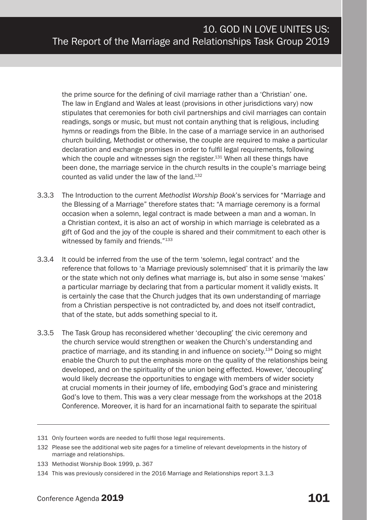the prime source for the defining of civil marriage rather than a 'Christian' one. The law in England and Wales at least (provisions in other jurisdictions vary) now stipulates that ceremonies for both civil partnerships and civil marriages can contain readings, songs or music, but must not contain anything that is religious, including hymns or readings from the Bible. In the case of a marriage service in an authorised church building, Methodist or otherwise, the couple are required to make a particular declaration and exchange promises in order to fulfil legal requirements, following which the couple and witnesses sign the register.<sup>131</sup> When all these things have been done, the marriage service in the church results in the couple's marriage being counted as valid under the law of the land.132

- 3.3.3 The Introduction to the current *Methodist Worship Book*'s services for "Marriage and the Blessing of a Marriage" therefore states that: "A marriage ceremony is a formal occasion when a solemn, legal contract is made between a man and a woman. In a Christian context, it is also an act of worship in which marriage is celebrated as a gift of God and the joy of the couple is shared and their commitment to each other is witnessed by family and friends."<sup>133</sup>
- 3.3.4 It could be inferred from the use of the term 'solemn, legal contract' and the reference that follows to 'a Marriage previously solemnised' that it is primarily the law or the state which not only defines what marriage is, but also in some sense 'makes' a particular marriage by declaring that from a particular moment it validly exists. It is certainly the case that the Church judges that its own understanding of marriage from a Christian perspective is not contradicted by, and does not itself contradict, that of the state, but adds something special to it.
- 3.3.5 The Task Group has reconsidered whether 'decoupling' the civic ceremony and the church service would strengthen or weaken the Church's understanding and practice of marriage, and its standing in and influence on society.134 Doing so might enable the Church to put the emphasis more on the quality of the relationships being developed, and on the spirituality of the union being effected. However, 'decoupling' would likely decrease the opportunities to engage with members of wider society at crucial moments in their journey of life, embodying God's grace and ministering God's love to them. This was a very clear message from the workshops at the 2018 Conference. Moreover, it is hard for an incarnational faith to separate the spiritual

<sup>131</sup> Only fourteen words are needed to fulfil those legal requirements.

<sup>132</sup> Please see the additional web site pages for a timeline of relevant developments in the history of marriage and relationships.

<sup>133</sup> Methodist Worship Book 1999, p. 367

<sup>134</sup> This was previously considered in the 2016 Marriage and Relationships report 3.1.3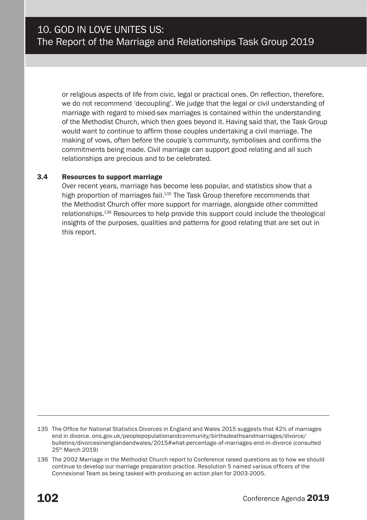or religious aspects of life from civic, legal or practical ones. On reflection, therefore, we do not recommend 'decoupling'. We judge that the legal or civil understanding of marriage with regard to mixed-sex marriages is contained within the understanding of the Methodist Church, which then goes beyond it. Having said that, the Task Group would want to continue to affirm those couples undertaking a civil marriage. The making of vows, often before the couple's community, symbolises and confirms the commitments being made. Civil marriage can support good relating and all such relationships are precious and to be celebrated.

#### 3.4 Resources to support marriage

Over recent years, marriage has become less popular, and statistics show that a high proportion of marriages fail.<sup>135</sup> The Task Group therefore recommends that the Methodist Church offer more support for marriage, alongside other committed relationships.136 Resources to help provide this support could include the theological insights of the purposes, qualities and patterns for good relating that are set out in this report.

<sup>135</sup> The Office for National Statistics Divorces in England and Wales 2015 suggests that 42% of marriages end in divorce. ons.gov.uk/peoplepopulationandcommunity/birthsdeathsandmarriages/divorce/ bulletins/divorcesinenglandandwales/2015#what-percentage-of-marriages-end-in-divorce (consulted 25th March 2019)

<sup>136</sup> The 2002 Marriage in the Methodist Church report to Conference raised questions as to how we should continue to develop our marriage preparation practice. Resolution 5 named various officers of the Connexional Team as being tasked with producing an action plan for 2003-2005.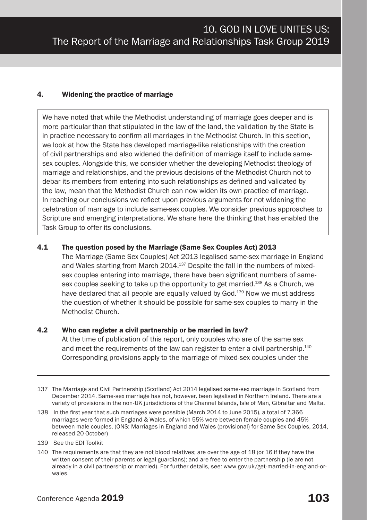#### 4. Widening the practice of marriage

We have noted that while the Methodist understanding of marriage goes deeper and is more particular than that stipulated in the law of the land, the validation by the State is in practice necessary to confirm all marriages in the Methodist Church. In this section, we look at how the State has developed marriage-like relationships with the creation of civil partnerships and also widened the definition of marriage itself to include samesex couples. Alongside this, we consider whether the developing Methodist theology of marriage and relationships, and the previous decisions of the Methodist Church not to debar its members from entering into such relationships as defined and validated by the law, mean that the Methodist Church can now widen its own practice of marriage. In reaching our conclusions we reflect upon previous arguments for not widening the celebration of marriage to include same-sex couples. We consider previous approaches to Scripture and emerging interpretations. We share here the thinking that has enabled the Task Group to offer its conclusions.

#### 4.1 The question posed by the Marriage (Same Sex Couples Act) 2013

The Marriage (Same Sex Couples) Act 2013 legalised same-sex marriage in England and Wales starting from March 2014.<sup>137</sup> Despite the fall in the numbers of mixedsex couples entering into marriage, there have been significant numbers of samesex couples seeking to take up the opportunity to get married.<sup>138</sup> As a Church, we have declared that all people are equally valued by God.<sup>139</sup> Now we must address the question of whether it should be possible for same-sex couples to marry in the Methodist Church.

#### 4.2 Who can register a civil partnership or be married in law?

At the time of publication of this report, only couples who are of the same sex and meet the requirements of the law can register to enter a civil partnership.<sup>140</sup> Corresponding provisions apply to the marriage of mixed-sex couples under the

- 137 The Marriage and Civil Partnership (Scotland) Act 2014 legalised same-sex marriage in Scotland from December 2014. Same-sex marriage has not, however, been legalised in Northern Ireland. There are a variety of provisions in the non-UK jurisdictions of the Channel Islands, Isle of Man, Gibraltar and Malta.
- 138 In the first year that such marriages were possible (March 2014 to June 2015), a total of 7,366 marriages were formed in England & Wales, of which 55% were between female couples and 45% between male couples. (ONS: Marriages in England and Wales (provisional) for Same Sex Couples, 2014, released 20 October)
- 139 See the EDI Toolkit
- 140 The requirements are that they are not blood relatives; are over the age of 18 (or 16 if they have the written consent of their parents or legal guardians); and are free to enter the partnership (ie are not already in a civil partnership or married). For further details, see: www.gov.uk/get-married-in-england-orwales.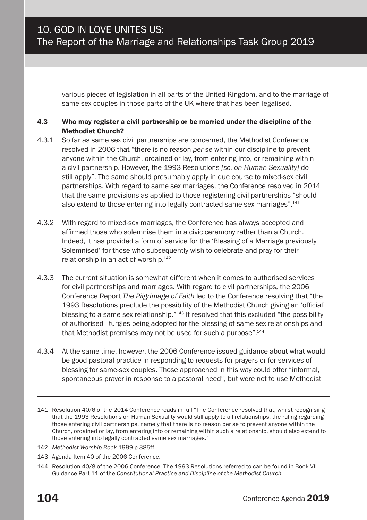various pieces of legislation in all parts of the United Kingdom, and to the marriage of same-sex couples in those parts of the UK where that has been legalised.

#### 4.3 Who may register a civil partnership or be married under the discipline of the Methodist Church?

- 4.3.1 So far as same sex civil partnerships are concerned, the Methodist Conference resolved in 2006 that "there is no reason *per se* within our discipline to prevent anyone within the Church, ordained or lay, from entering into, or remaining within a civil partnership. However, the 1993 Resolutions *[sc. on Human Sexuality]* do still apply". The same should presumably apply in due course to mixed-sex civil partnerships. With regard to same sex marriages, the Conference resolved in 2014 that the same provisions as applied to those registering civil partnerships "should also extend to those entering into legally contracted same sex marriages".<sup>141</sup>
- 4.3.2 With regard to mixed-sex marriages, the Conference has always accepted and affirmed those who solemnise them in a civic ceremony rather than a Church. Indeed, it has provided a form of service for the 'Blessing of a Marriage previously Solemnised' for those who subsequently wish to celebrate and pray for their relationship in an act of worship.142
- 4.3.3 The current situation is somewhat different when it comes to authorised services for civil partnerships and marriages. With regard to civil partnerships, the 2006 Conference Report *The Pilgrimage of Faith* led to the Conference resolving that "the 1993 Resolutions preclude the possibility of the Methodist Church giving an 'official' blessing to a same-sex relationship.<sup>"143</sup> It resolved that this excluded "the possibility of authorised liturgies being adopted for the blessing of same-sex relationships and that Methodist premises may not be used for such a purpose".<sup>144</sup>
- 4.3.4 At the same time, however, the 2006 Conference issued guidance about what would be good pastoral practice in responding to requests for prayers or for services of blessing for same-sex couples. Those approached in this way could offer "informal, spontaneous prayer in response to a pastoral need", but were not to use Methodist

- 142 *Methodist Worship Book* 1999 p 385ff
- 143 Agenda Item 40 of the 2006 Conference.

<sup>141</sup> Resolution 40/6 of the 2014 Conference reads in full "The Conference resolved that, whilst recognising that the 1993 Resolutions on Human Sexuality would still apply to all relationships, the ruling regarding those entering civil partnerships, namely that there is no reason per se to prevent anyone within the Church, ordained or lay, from entering into or remaining within such a relationship, should also extend to those entering into legally contracted same sex marriages."

<sup>144</sup> Resolution 40/8 of the 2006 Conference. The 1993 Resolutions referred to can be found in Book VII Guidance Part 11 of the *Constitutional Practice and Discipline of the Methodist Church*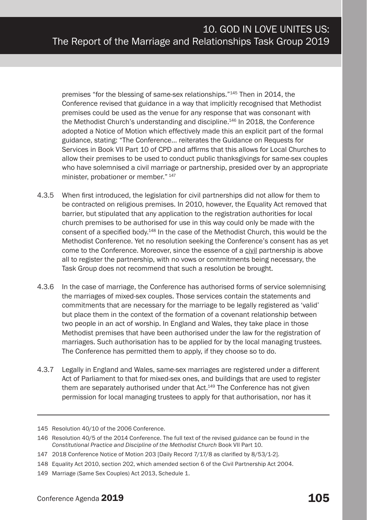premises "for the blessing of same-sex relationships."145 Then in 2014, the Conference revised that guidance in a way that implicitly recognised that Methodist premises could be used as the venue for any response that was consonant with the Methodist Church's understanding and discipline.<sup>146</sup> In 2018, the Conference adopted a Notice of Motion which effectively made this an explicit part of the formal guidance, stating: "The Conference… reiterates the Guidance on Requests for Services in Book VII Part 10 of CPD and affirms that this allows for Local Churches to allow their premises to be used to conduct public thanksgivings for same-sex couples who have solemnised a civil marriage or partnership, presided over by an appropriate minister, probationer or member." <sup>147</sup>

- 4.3.5 When first introduced, the legislation for civil partnerships did not allow for them to be contracted on religious premises. In 2010, however, the Equality Act removed that barrier, but stipulated that any application to the registration authorities for local church premises to be authorised for use in this way could only be made with the consent of a specified body.148 In the case of the Methodist Church, this would be the Methodist Conference. Yet no resolution seeking the Conference's consent has as yet come to the Conference. Moreover, since the essence of a civil partnership is above all to register the partnership, with no vows or commitments being necessary, the Task Group does not recommend that such a resolution be brought.
- 4.3.6 In the case of marriage, the Conference has authorised forms of service solemnising the marriages of mixed-sex couples. Those services contain the statements and commitments that are necessary for the marriage to be legally registered as 'valid' but place them in the context of the formation of a covenant relationship between two people in an act of worship. In England and Wales, they take place in those Methodist premises that have been authorised under the law for the registration of marriages. Such authorisation has to be applied for by the local managing trustees. The Conference has permitted them to apply, if they choose so to do.
- 4.3.7 Legally in England and Wales, same-sex marriages are registered under a different Act of Parliament to that for mixed-sex ones, and buildings that are used to register them are separately authorised under that Act.149 The Conference has not given permission for local managing trustees to apply for that authorisation, nor has it

<sup>145</sup> Resolution 40/10 of the 2006 Conference.

<sup>146</sup> Resolution 40/5 of the 2014 Conference. The full text of the revised guidance can be found in the *Constitutional Practice and Discipline of the Methodist Church* Book VII Part 10.

<sup>147</sup> 2018 Conference Notice of Motion 203 [Daily Record 7/17/8 as clarified by 8/53/1-2].

<sup>148</sup> Equality Act 2010, section 202, which amended section 6 of the Civil Partnership Act 2004.

<sup>149</sup> Marriage (Same Sex Couples) Act 2013, Schedule 1.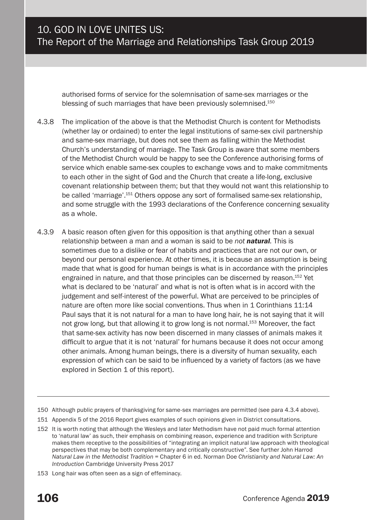authorised forms of service for the solemnisation of same-sex marriages or the blessing of such marriages that have been previously solemnised.<sup>150</sup>

- 4.3.8 The implication of the above is that the Methodist Church is content for Methodists (whether lay or ordained) to enter the legal institutions of same-sex civil partnership and same-sex marriage, but does not see them as falling within the Methodist Church's understanding of marriage. The Task Group is aware that some members of the Methodist Church would be happy to see the Conference authorising forms of service which enable same-sex couples to exchange vows and to make commitments to each other in the sight of God and the Church that create a life-long, exclusive covenant relationship between them; but that they would not want this relationship to be called 'marriage'.151 Others oppose any sort of formalised same-sex relationship, and some struggle with the 1993 declarations of the Conference concerning sexuality as a whole.
- 4.3.9 A basic reason often given for this opposition is that anything other than a sexual relationship between a man and a woman is said to be *not natural.* This is sometimes due to a dislike or fear of habits and practices that are not our own, or beyond our personal experience. At other times, it is because an assumption is being made that what is good for human beings is what is in accordance with the principles engrained in nature, and that those principles can be discerned by reason.152 Yet what is declared to be 'natural' and what is not is often what is in accord with the judgement and self-interest of the powerful. What are perceived to be principles of nature are often more like social conventions. Thus when in 1 Corinthians 11:14 Paul says that it is not natural for a man to have long hair, he is not saying that it will not grow long, but that allowing it to grow long is not normal.153 Moreover, the fact that same-sex activity has now been discerned in many classes of animals makes it difficult to argue that it is not 'natural' for humans because it does not occur among other animals. Among human beings, there is a diversity of human sexuality, each expression of which can be said to be influenced by a variety of factors (as we have explored in Section 1 of this report).

<sup>150</sup> Although public prayers of thanksgiving for same-sex marriages are permitted (see para 4.3.4 above).

<sup>151</sup> Appendix 5 of the 2016 Report gives examples of such opinions given in District consultations.

<sup>152</sup> It is worth noting that although the Wesleys and later Methodism have not paid much formal attention to 'natural law' as such, their emphasis on combining reason, experience and tradition with Scripture makes them receptive to the possibilities of "integrating an implicit natural law approach with theological perspectives that may be both complementary and critically constructive". See further John Harrod *Natural Law in the Methodist Tradition* = Chapter 6 in ed. Norman Doe *Christianity and Natural Law: An Introduction* Cambridge University Press 2017

<sup>153</sup> Long hair was often seen as a sign of effeminacy.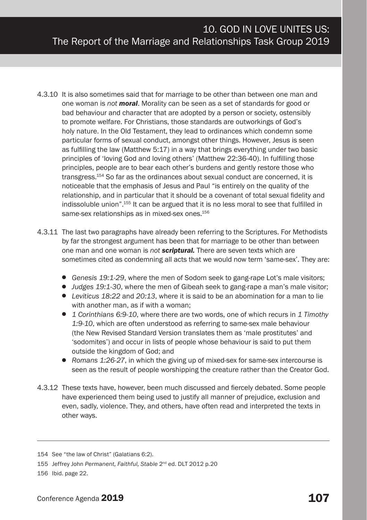- 4.3.10 It is also sometimes said that for marriage to be other than between one man and one woman is *not moral*. Morality can be seen as a set of standards for good or bad behaviour and character that are adopted by a person or society, ostensibly to promote welfare. For Christians, those standards are outworkings of God's holy nature. In the Old Testament, they lead to ordinances which condemn some particular forms of sexual conduct, amongst other things. However, Jesus is seen as fulfilling the law (Matthew 5:17) in a way that brings everything under two basic principles of 'loving God and loving others' (Matthew 22:36-40). In fulfilling those principles, people are to bear each other's burdens and gently restore those who transgress.154 So far as the ordinances about sexual conduct are concerned, it is noticeable that the emphasis of Jesus and Paul "is entirely on the quality of the relationship, and in particular that it should be a covenant of total sexual fidelity and indissoluble union".155 It can be argued that it is no less moral to see that fulfilled in same-sex relationships as in mixed-sex ones.<sup>156</sup>
- 4.3.11 The last two paragraphs have already been referring to the Scriptures. For Methodists by far the strongest argument has been that for marriage to be other than between one man and one woman is *not scriptural.* There are seven texts which are sometimes cited as condemning all acts that we would now term 'same-sex'. They are:
	- *Genesis 19:1-29*, where the men of Sodom seek to gang-rape Lot's male visitors;
	- *Judges 19:1-30*, where the men of Gibeah seek to gang-rape a man's male visitor;
	- *Leviticus 18:22* and *20:13*, where it is said to be an abomination for a man to lie with another man, as if with a woman;
	- *1 Corinthians 6:9-10*, where there are two words, one of which recurs in *1 Timothy 1:9-10*, which are often understood as referring to same-sex male behaviour (the New Revised Standard Version translates them as 'male prostitutes' and 'sodomites') and occur in lists of people whose behaviour is said to put them outside the kingdom of God; and
	- *Romans 1:26-27*, in which the giving up of mixed-sex for same-sex intercourse is seen as the result of people worshipping the creature rather than the Creator God.
- 4.3.12 These texts have, however, been much discussed and fiercely debated. Some people have experienced them being used to justify all manner of prejudice, exclusion and even, sadly, violence. They, and others, have often read and interpreted the texts in other ways.

<sup>154</sup> See "the law of Christ" (Galatians 6:2).

<sup>155</sup> Jeffrey John *Permanent, Faithful, Stable* 2nd ed. DLT 2012 p.20

<sup>156</sup> Ibid. page 22.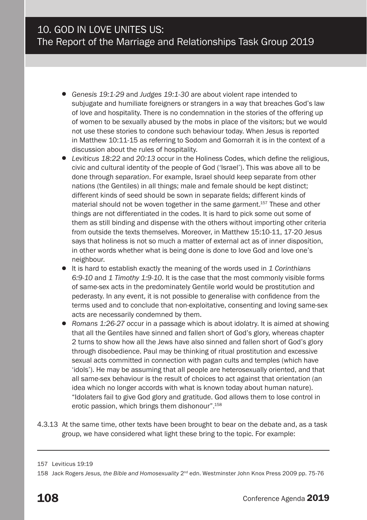- *Genesis 19:1-29* and *Judges 19:1-30* are about violent rape intended to subjugate and humiliate foreigners or strangers in a way that breaches God's law of love and hospitality. There is no condemnation in the stories of the offering up of women to be sexually abused by the mobs in place of the visitors; but we would not use these stories to condone such behaviour today. When Jesus is reported in Matthew 10:11-15 as referring to Sodom and Gomorrah it is in the context of a discussion about the rules of hospitality.
- *Leviticus 18:22* and *20:13* occur in the Holiness Codes, which define the religious, civic and cultural identity of the people of God ('Israel'). This was above all to be done through *separation*. For example, Israel should keep separate from other nations (the Gentiles) in all things; male and female should be kept distinct; different kinds of seed should be sown in separate fields; different kinds of material should not be woven together in the same garment.<sup>157</sup> These and other things are not differentiated in the codes. It is hard to pick some out some of them as still binding and dispense with the others without importing other criteria from outside the texts themselves. Moreover, in Matthew 15:10-11, 17-20 Jesus says that holiness is not so much a matter of external act as of inner disposition, in other words whether what is being done is done to love God and love one's neighbour.
- It is hard to establish exactly the meaning of the words used in *1 Corinthians 6:9-10* and *1 Timothy 1:9-10*. It is the case that the most commonly visible forms of same-sex acts in the predominately Gentile world would be prostitution and pederasty. In any event, it is not possible to generalise with confidence from the terms used and to conclude that non-exploitative, consenting and loving same-sex acts are necessarily condemned by them.
- *Romans 1:26-27* occur in a passage which is about idolatry. It is aimed at showing that all the Gentiles have sinned and fallen short of God's glory, whereas chapter 2 turns to show how all the Jews have also sinned and fallen short of God's glory through disobedience. Paul may be thinking of ritual prostitution and excessive sexual acts committed in connection with pagan cults and temples (which have 'idols'). He may be assuming that all people are heterosexually oriented, and that all same-sex behaviour is the result of choices to act against that orientation (an idea which no longer accords with what is known today about human nature). "Idolaters fail to give God glory and gratitude. God allows them to lose control in erotic passion, which brings them dishonour".158
- 4.3.13 At the same time, other texts have been brought to bear on the debate and, as a task group, we have considered what light these bring to the topic. For example:

<sup>157</sup> Leviticus 19:19

<sup>158</sup> Jack Rogers *Jesus, the Bible and Homosexuality* 2nd edn. Westminster John Knox Press 2009 pp. 75-76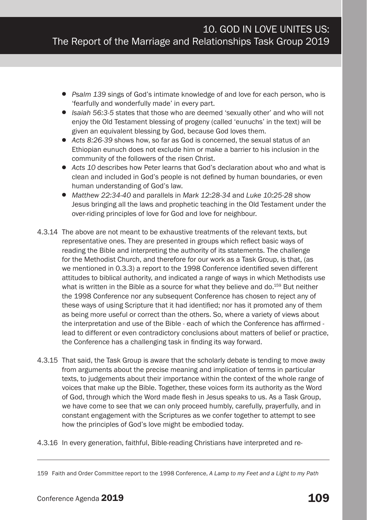- *Psalm 139* sings of God's intimate knowledge of and love for each person, who is 'fearfully and wonderfully made' in every part.
- *Isaiah 56:3-5* states that those who are deemed 'sexually other' and who will not enjoy the Old Testament blessing of progeny (called 'eunuchs' in the text) will be given an equivalent blessing by God, because God loves them.
- *Acts 8:26-39* shows how, so far as God is concerned, the sexual status of an Ethiopian eunuch does not exclude him or make a barrier to his inclusion in the community of the followers of the risen Christ.
- *Acts 10* describes how Peter learns that God's declaration about who and what is clean and included in God's people is not defined by human boundaries, or even human understanding of God's law.
- *Matthew 22:34-40* and parallels in *Mark 12:28-34* and *Luke 10:25-28* show Jesus bringing all the laws and prophetic teaching in the Old Testament under the over-riding principles of love for God and love for neighbour.
- 4.3.14 The above are not meant to be exhaustive treatments of the relevant texts, but representative ones. They are presented in groups which reflect basic ways of reading the Bible and interpreting the authority of its statements. The challenge for the Methodist Church, and therefore for our work as a Task Group, is that, (as we mentioned in 0.3.3) a report to the 1998 Conference identified seven different attitudes to biblical authority, and indicated a range of ways in which Methodists use what is written in the Bible as a source for what they believe and do.<sup>159</sup> But neither the 1998 Conference nor any subsequent Conference has chosen to reject any of these ways of using Scripture that it had identified; nor has it promoted any of them as being more useful or correct than the others. So, where a variety of views about the interpretation and use of the Bible - each of which the Conference has affirmed lead to different or even contradictory conclusions about matters of belief or practice, the Conference has a challenging task in finding its way forward.
- 4.3.15 That said, the Task Group is aware that the scholarly debate is tending to move away from arguments about the precise meaning and implication of terms in particular texts, to judgements about their importance within the context of the whole range of voices that make up the Bible. Together, these voices form its authority as the Word of God, through which the Word made flesh in Jesus speaks to us. As a Task Group, we have come to see that we can only proceed humbly, carefully, prayerfully, and in constant engagement with the Scriptures as we confer together to attempt to see how the principles of God's love might be embodied today.
- 4.3.16 In every generation, faithful, Bible-reading Christians have interpreted and re-

<sup>159</sup> Faith and Order Committee report to the 1998 Conference, *A Lamp to my Feet and a Light to my Path*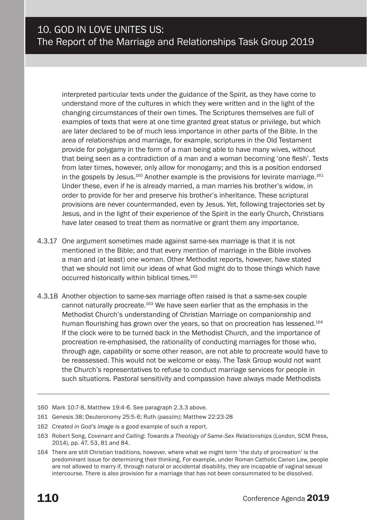interpreted particular texts under the guidance of the Spirit, as they have come to understand more of the cultures in which they were written and in the light of the changing circumstances of their own times. The Scriptures themselves are full of examples of texts that were at one time granted great status or privilege, but which are later declared to be of much less importance in other parts of the Bible. In the area of relationships and marriage, for example, scriptures in the Old Testament provide for polygamy in the form of a man being able to have many wives, without that being seen as a contradiction of a man and a woman becoming 'one flesh'. Texts from later times, however, only allow for monogamy; and this is a position endorsed in the gospels by Jesus. $160$  Another example is the provisions for levirate marriage. $161$ Under these, even if he is already married, a man marries his brother's widow, in order to provide for her and preserve his brother's inheritance. These scriptural provisions are never countermanded, even by Jesus. Yet, following trajectories set by Jesus, and in the light of their experience of the Spirit in the early Church, Christians have later ceased to treat them as normative or grant them any importance.

- 4.3.17 One argument sometimes made against same-sex marriage is that it is not mentioned in the Bible; and that every mention of marriage in the Bible involves a man and (at least) one woman. Other Methodist reports, however, have stated that we should not limit our ideas of what God might do to those things which have occurred historically within biblical times.<sup>162</sup>
- 4.3.18 Another objection to same-sex marriage often raised is that a same-sex couple cannot naturally procreate.<sup>163</sup> We have seen earlier that as the emphasis in the Methodist Church's understanding of Christian Marriage on companionship and human flourishing has grown over the years, so that on procreation has lessened.<sup>164</sup> If the clock were to be turned back in the Methodist Church, and the importance of procreation re-emphasised, the rationality of conducting marriages for those who, through age, capability or some other reason, are not able to procreate would have to be reassessed. This would not be welcome or easy. The Task Group would not want the Church's representatives to refuse to conduct marriage services for people in such situations. Pastoral sensitivity and compassion have always made Methodists
- 160 Mark 10:7-8, Matthew 19:4-6. See paragraph 2.3.3 above.
- 161 Genesis 38; Deuteronomy 25:5-6; Ruth *(passim)*; Matthew 22:23-28
- 162 *Created in God's image* is a good example of such a report.
- 163 Robert Song, *Covenant and Calling: Towards a Theology of Same-Sex Relationships* (London, SCM Press, 2014), pp. 47, 53, 81 and 84.
- 164 There are still Christian traditions, however, where what we might term 'the duty of procreation' is the predominant issue for determining their thinking. For example, under Roman Catholic Canon Law, people are not allowed to marry if, through natural or accidental disability, they are incapable of vaginal sexual intercourse. There is also provision for a marriage that has not been consummated to be dissolved.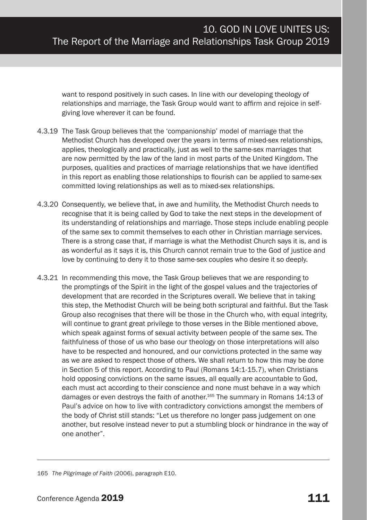want to respond positively in such cases. In line with our developing theology of relationships and marriage, the Task Group would want to affirm and rejoice in selfgiving love wherever it can be found.

- 4.3.19 The Task Group believes that the 'companionship' model of marriage that the Methodist Church has developed over the years in terms of mixed-sex relationships, applies, theologically and practically, just as well to the same-sex marriages that are now permitted by the law of the land in most parts of the United Kingdom. The purposes, qualities and practices of marriage relationships that we have identified in this report as enabling those relationships to flourish can be applied to same-sex committed loving relationships as well as to mixed-sex relationships.
- 4.3.20 Consequently, we believe that, in awe and humility, the Methodist Church needs to recognise that it is being called by God to take the next steps in the development of its understanding of relationships and marriage. Those steps include enabling people of the same sex to commit themselves to each other in Christian marriage services. There is a strong case that, if marriage is what the Methodist Church says it is, and is as wonderful as it says it is, this Church cannot remain true to the God of justice and love by continuing to deny it to those same-sex couples who desire it so deeply.
- 4.3.21 In recommending this move, the Task Group believes that we are responding to the promptings of the Spirit in the light of the gospel values and the trajectories of development that are recorded in the Scriptures overall. We believe that in taking this step, the Methodist Church will be being both scriptural and faithful. But the Task Group also recognises that there will be those in the Church who, with equal integrity, will continue to grant great privilege to those verses in the Bible mentioned above, which speak against forms of sexual activity between people of the same sex. The faithfulness of those of us who base our theology on those interpretations will also have to be respected and honoured, and our convictions protected in the same way as we are asked to respect those of others. We shall return to how this may be done in Section 5 of this report. According to Paul (Romans 14:1-15.7), when Christians hold opposing convictions on the same issues, all equally are accountable to God, each must act according to their conscience and none must behave in a way which damages or even destroys the faith of another.<sup>165</sup> The summary in Romans 14:13 of Paul's advice on how to live with contradictory convictions amongst the members of the body of Christ still stands: "Let us therefore no longer pass judgement on one another, but resolve instead never to put a stumbling block or hindrance in the way of one another".

<sup>165</sup> *The Pilgrimage of Faith* (2006), paragraph E10.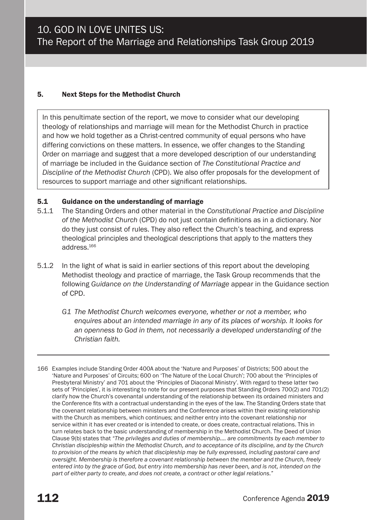#### 5. Next Steps for the Methodist Church

In this penultimate section of the report, we move to consider what our developing theology of relationships and marriage will mean for the Methodist Church in practice and how we hold together as a Christ-centred community of equal persons who have differing convictions on these matters. In essence, we offer changes to the Standing Order on marriage and suggest that a more developed description of our understanding of marriage be included in the Guidance section of *The Constitutional Practice and Discipline of the Methodist Church* (CPD). We also offer proposals for the development of resources to support marriage and other significant relationships.

#### 5.1 Guidance on the understanding of marriage

- 5.1.1 The Standing Orders and other material in the *Constitutional Practice and Discipline of the Methodist Church* (CPD) do not just contain definitions as in a dictionary. Nor do they just consist of rules. They also reflect the Church's teaching, and express theological principles and theological descriptions that apply to the matters they address.166
- 5.1.2 In the light of what is said in earlier sections of this report about the developing Methodist theology and practice of marriage, the Task Group recommends that the following *Guidance on the Understanding of Marriage* appear in the Guidance section of CPD.
	- *G1 The Methodist Church welcomes everyone, whether or not a member, who enquires about an intended marriage in any of its places of worship. It looks for an openness to God in them, not necessarily a developed understanding of the Christian faith.*
- 166 Examples include Standing Order 400A about the 'Nature and Purposes' of Districts; 500 about the 'Nature and Purposes' of Circuits; 600 on 'The Nature of the Local Church'; 700 about the 'Principles of Presbyteral Ministry' and 701 about the 'Principles of Diaconal Ministry'. With regard to these latter two sets of 'Principles', it is interesting to note for our present purposes that Standing Orders 700(2) and 701(2) clarify how the Church's covenantal understanding of the relationship between its ordained ministers and the Conference fits with a contractual understanding in the eyes of the law. The Standing Orders state that the covenant relationship between ministers and the Conference arises within their existing relationship with the Church as members, which continues; and neither entry into the covenant relationship nor service within it has ever created or is intended to create, or does create, contractual relations. This in turn relates back to the basic understanding of membership in the Methodist Church. The Deed of Union Clause 9(b) states that *"The privileges and duties of membership…. are commitments by each member to Christian discipleship within the Methodist Church, and to acceptance of its discipline, and by the Church to provision of the means by which that discipleship may be fully expressed, including pastoral care and oversight. Membership is therefore a covenant relationship between the member and the Church, freely entered into by the grace of God, but entry into membership has never been, and is not, intended on the part of either party to create, and does not create, a contract or other legal relations."*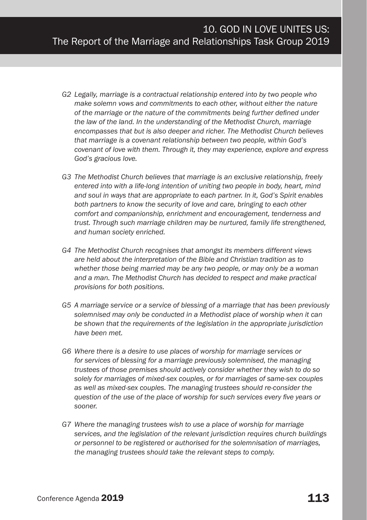- *G2 Legally, marriage is a contractual relationship entered into by two people who make solemn vows and commitments to each other, without either the nature of the marriage or the nature of the commitments being further defined under the law of the land. In the understanding of the Methodist Church, marriage encompasses that but is also deeper and richer. The Methodist Church believes that marriage is a covenant relationship between two people, within God's covenant of love with them. Through it, they may experience, explore and express God's gracious love.*
- *G3 The Methodist Church believes that marriage is an exclusive relationship, freely entered into with a life-long intention of uniting two people in body, heart, mind and soul in ways that are appropriate to each partner. In it, God's Spirit enables both partners to know the security of love and care, bringing to each other comfort and companionship, enrichment and encouragement, tenderness and trust. Through such marriage children may be nurtured, family life strengthened, and human society enriched.*
- *G4 The Methodist Church recognises that amongst its members different views are held about the interpretation of the Bible and Christian tradition as to whether those being married may be any two people, or may only be a woman and a man. The Methodist Church has decided to respect and make practical provisions for both positions.*
- *G5 A marriage service or a service of blessing of a marriage that has been previously solemnised may only be conducted in a Methodist place of worship when it can be shown that the requirements of the legislation in the appropriate jurisdiction have been met.*
- *G6 Where there is a desire to use places of worship for marriage services or for services of blessing for a marriage previously solemnised, the managing trustees of those premises should actively consider whether they wish to do so solely for marriages of mixed-sex couples, or for marriages of same-sex couples as well as mixed-sex couples. The managing trustees should re-consider the question of the use of the place of worship for such services every five years or sooner.*
- *G7 Where the managing trustees wish to use a place of worship for marriage services, and the legislation of the relevant jurisdiction requires church buildings or personnel to be registered or authorised for the solemnisation of marriages, the managing trustees should take the relevant steps to comply.*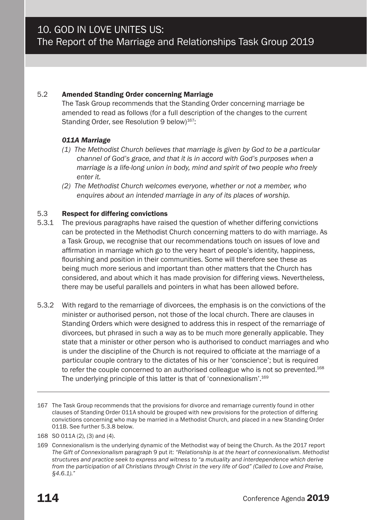#### 5.2 Amended Standing Order concerning Marriage

The Task Group recommends that the Standing Order concerning marriage be amended to read as follows (for a full description of the changes to the current Standing Order, see Resolution 9 below)<sup>167</sup>:

#### *011A Marriage*

- *(1) The Methodist Church believes that marriage is given by God to be a particular channel of God's grace, and that it is in accord with God's purposes when a marriage is a life-long union in body, mind and spirit of two people who freely enter it.*
- *(2) The Methodist Church welcomes everyone, whether or not a member, who enquires about an intended marriage in any of its places of worship.*

#### 5.3 Respect for differing convictions

- 5.3.1 The previous paragraphs have raised the question of whether differing convictions can be protected in the Methodist Church concerning matters to do with marriage. As a Task Group, we recognise that our recommendations touch on issues of love and affirmation in marriage which go to the very heart of people's identity, happiness, flourishing and position in their communities. Some will therefore see these as being much more serious and important than other matters that the Church has considered, and about which it has made provision for differing views. Nevertheless, there may be useful parallels and pointers in what has been allowed before.
- 5.3.2 With regard to the remarriage of divorcees, the emphasis is on the convictions of the minister or authorised person, not those of the local church. There are clauses in Standing Orders which were designed to address this in respect of the remarriage of divorcees, but phrased in such a way as to be much more generally applicable. They state that a minister or other person who is authorised to conduct marriages and who is under the discipline of the Church is not required to officiate at the marriage of a particular couple contrary to the dictates of his or her 'conscience'; but is required to refer the couple concerned to an authorised colleague who is not so prevented.<sup>168</sup> The underlying principle of this latter is that of 'connexionalism'.169
- 167 The Task Group recommends that the provisions for divorce and remarriage currently found in other clauses of Standing Order 011A should be grouped with new provisions for the protection of differing convictions concerning who may be married in a Methodist Church, and placed in a new Standing Order 011B. See further 5.3.8 below.
- 168 SO 011A (2), (3) and (4).

<sup>169</sup> Connexionalism is the underlying dynamic of the Methodist way of being the Church. As the 2017 report *The Gift of Connexionalism* paragraph 9 put it: *"Relationship is at the heart of connexionalism. Methodist structures and practice seek to express and witness to "a mutuality and interdependence which derive from the participation of all Christians through Christ in the very life of God" (Called to Love and Praise, §4.6.1)."*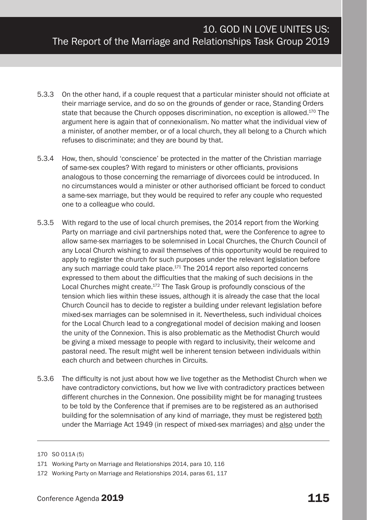- 5.3.3 On the other hand, if a couple request that a particular minister should not officiate at their marriage service, and do so on the grounds of gender or race, Standing Orders state that because the Church opposes discrimination, no exception is allowed.170 The argument here is again that of connexionalism. No matter what the individual view of a minister, of another member, or of a local church, they all belong to a Church which refuses to discriminate; and they are bound by that.
- 5.3.4 How, then, should 'conscience' be protected in the matter of the Christian marriage of same-sex couples? With regard to ministers or other officiants, provisions analogous to those concerning the remarriage of divorcees could be introduced. In no circumstances would a minister or other authorised officiant be forced to conduct a same-sex marriage, but they would be required to refer any couple who requested one to a colleague who could.
- 5.3.5 With regard to the use of local church premises, the 2014 report from the Working Party on marriage and civil partnerships noted that, were the Conference to agree to allow same-sex marriages to be solemnised in Local Churches, the Church Council of any Local Church wishing to avail themselves of this opportunity would be required to apply to register the church for such purposes under the relevant legislation before any such marriage could take place.<sup>171</sup> The 2014 report also reported concerns expressed to them about the difficulties that the making of such decisions in the Local Churches might create.<sup>172</sup> The Task Group is profoundly conscious of the tension which lies within these issues, although it is already the case that the local Church Council has to decide to register a building under relevant legislation before mixed-sex marriages can be solemnised in it. Nevertheless, such individual choices for the Local Church lead to a congregational model of decision making and loosen the unity of the Connexion. This is also problematic as the Methodist Church would be giving a mixed message to people with regard to inclusivity, their welcome and pastoral need. The result might well be inherent tension between individuals within each church and between churches in Circuits.
- 5.3.6 The difficulty is not just about how we live together as the Methodist Church when we have contradictory convictions, but how we live with contradictory practices between different churches in the Connexion. One possibility might be for managing trustees to be told by the Conference that if premises are to be registered as an authorised building for the solemnisation of any kind of marriage, they must be registered both under the Marriage Act 1949 (in respect of mixed-sex marriages) and also under the

<sup>170</sup> SO 011A (5)

<sup>171</sup> Working Party on Marriage and Relationships 2014, para 10, 116

<sup>172</sup> Working Party on Marriage and Relationships 2014, paras 61, 117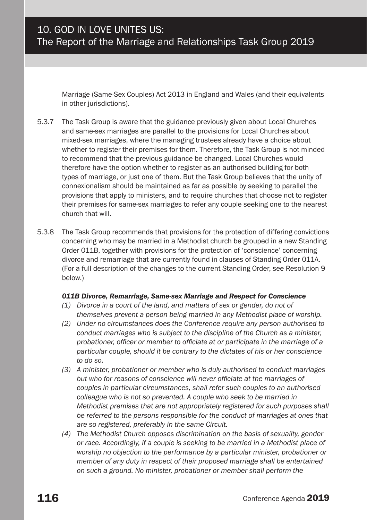Marriage (Same-Sex Couples) Act 2013 in England and Wales (and their equivalents in other jurisdictions).

- 5.3.7 The Task Group is aware that the guidance previously given about Local Churches and same-sex marriages are parallel to the provisions for Local Churches about mixed-sex marriages, where the managing trustees already have a choice about whether to register their premises for them. Therefore, the Task Group is not minded to recommend that the previous guidance be changed. Local Churches would therefore have the option whether to register as an authorised building for both types of marriage, or just one of them. But the Task Group believes that the unity of connexionalism should be maintained as far as possible by seeking to parallel the provisions that apply to ministers, and to require churches that choose not to register their premises for same-sex marriages to refer any couple seeking one to the nearest church that will.
- 5.3.8 The Task Group recommends that provisions for the protection of differing convictions concerning who may be married in a Methodist church be grouped in a new Standing Order 011B, together with provisions for the protection of 'conscience' concerning divorce and remarriage that are currently found in clauses of Standing Order 011A. (For a full description of the changes to the current Standing Order, see Resolution 9 below.)

#### *011B Divorce, Remarriage, Same-sex Marriage and Respect for Conscience*

- *(1) Divorce in a court of the land, and matters of sex or gender, do not of themselves prevent a person being married in any Methodist place of worship.*
- *(2) Under no circumstances does the Conference require any person authorised to conduct marriages who is subject to the discipline of the Church as a minister, probationer, officer or member to officiate at or participate in the marriage of a particular couple, should it be contrary to the dictates of his or her conscience to do so.*
- *(3) A minister, probationer or member who is duly authorised to conduct marriages but who for reasons of conscience will never officiate at the marriages of couples in particular circumstances, shall refer such couples to an authorised colleague who is not so prevented. A couple who seek to be married in Methodist premises that are not appropriately registered for such purposes shall be referred to the persons responsible for the conduct of marriages at ones that are so registered, preferably in the same Circuit.*
- *(4) The Methodist Church opposes discrimination on the basis of sexuality, gender or race. Accordingly, if a couple is seeking to be married in a Methodist place of worship no objection to the performance by a particular minister, probationer or member of any duty in respect of their proposed marriage shall be entertained on such a ground. No minister, probationer or member shall perform the*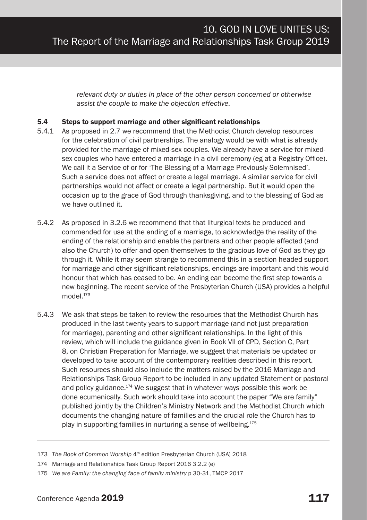*relevant duty or duties in place of the other person concerned or otherwise assist the couple to make the objection effective.*

#### 5.4 Steps to support marriage and other significant relationships

- 5.4.1 As proposed in 2.7 we recommend that the Methodist Church develop resources for the celebration of civil partnerships. The analogy would be with what is already provided for the marriage of mixed-sex couples. We already have a service for mixedsex couples who have entered a marriage in a civil ceremony (eg at a Registry Office). We call it a Service of or for 'The Blessing of a Marriage Previously Solemnised'. Such a service does not affect or create a legal marriage. A similar service for civil partnerships would not affect or create a legal partnership. But it would open the occasion up to the grace of God through thanksgiving, and to the blessing of God as we have outlined it.
- 5.4.2 As proposed in 3.2.6 we recommend that that liturgical texts be produced and commended for use at the ending of a marriage, to acknowledge the reality of the ending of the relationship and enable the partners and other people affected (and also the Church) to offer and open themselves to the gracious love of God as they go through it. While it may seem strange to recommend this in a section headed support for marriage and other significant relationships, endings are important and this would honour that which has ceased to be. An ending can become the first step towards a new beginning. The recent service of the Presbyterian Church (USA) provides a helpful model $173$
- 5.4.3 We ask that steps be taken to review the resources that the Methodist Church has produced in the last twenty years to support marriage (and not just preparation for marriage), parenting and other significant relationships. In the light of this review, which will include the guidance given in Book VII of CPD, Section C, Part 8, on Christian Preparation for Marriage, we suggest that materials be updated or developed to take account of the contemporary realities described in this report. Such resources should also include the matters raised by the 2016 Marriage and Relationships Task Group Report to be included in any updated Statement or pastoral and policy guidance.<sup>174</sup> We suggest that in whatever ways possible this work be done ecumenically. Such work should take into account the paper "We are family" published jointly by the Children's Ministry Network and the Methodist Church which documents the changing nature of families and the crucial role the Church has to play in supporting families in nurturing a sense of wellbeing.175

<sup>173</sup> *The Book of Common Worship* 4<sup>th</sup> edition Presbyterian Church (USA) 2018

<sup>174</sup> Marriage and Relationships Task Group Report 2016 3.2.2 (e)

<sup>175</sup> *We are Family: the changing face of family ministry* p 30-31, TMCP 2017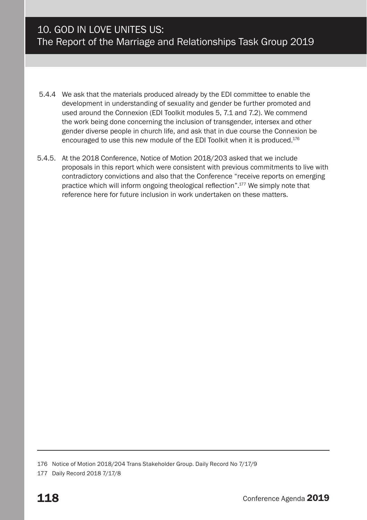- 5.4.4 We ask that the materials produced already by the EDI committee to enable the development in understanding of sexuality and gender be further promoted and used around the Connexion (EDI Toolkit modules 5, 7.1 and 7.2). We commend the work being done concerning the inclusion of transgender, intersex and other gender diverse people in church life, and ask that in due course the Connexion be encouraged to use this new module of the EDI Toolkit when it is produced.<sup>176</sup>
- 5.4.5. At the 2018 Conference, Notice of Motion 2018/203 asked that we include proposals in this report which were consistent with previous commitments to live with contradictory convictions and also that the Conference "receive reports on emerging practice which will inform ongoing theological reflection".177 We simply note that reference here for future inclusion in work undertaken on these matters.

<sup>176</sup> Notice of Motion 2018/204 Trans Stakeholder Group. Daily Record No 7/17/9

<sup>177</sup> Daily Record 2018 7/17/8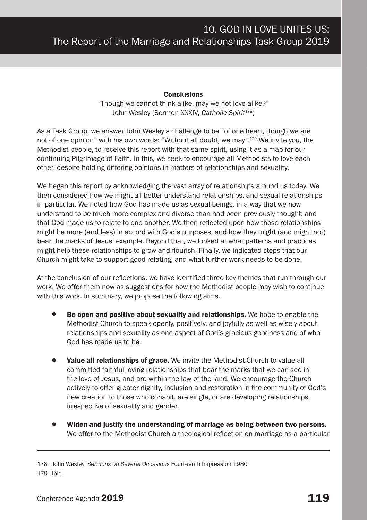#### **Conclusions**

"Though we cannot think alike, may we not love alike?" John Wesley (Sermon XXXIV, *Catholic Spirit<sup>178</sup>*)

As a Task Group, we answer John Wesley's challenge to be "of one heart, though we are not of one opinion" with his own words: "Without all doubt, we may".<sup>179</sup> We invite you, the Methodist people, to receive this report with that same spirit, using it as a map for our continuing Pilgrimage of Faith. In this, we seek to encourage all Methodists to love each other, despite holding differing opinions in matters of relationships and sexuality.

We began this report by acknowledging the vast array of relationships around us today. We then considered how we might all better understand relationships, and sexual relationships in particular. We noted how God has made us as sexual beings, in a way that we now understand to be much more complex and diverse than had been previously thought; and that God made us to relate to one another. We then reflected upon how those relationships might be more (and less) in accord with God's purposes, and how they might (and might not) bear the marks of Jesus' example. Beyond that, we looked at what patterns and practices might help these relationships to grow and flourish. Finally, we indicated steps that our Church might take to support good relating, and what further work needs to be done.

At the conclusion of our reflections, we have identified three key themes that run through our work. We offer them now as suggestions for how the Methodist people may wish to continue with this work. In summary, we propose the following aims.

- Be open and positive about sexuality and relationships. We hope to enable the Methodist Church to speak openly, positively, and joyfully as well as wisely about relationships and sexuality as one aspect of God's gracious goodness and of who God has made us to be.
- Value all relationships of grace. We invite the Methodist Church to value all committed faithful loving relationships that bear the marks that we can see in the love of Jesus, and are within the law of the land. We encourage the Church actively to offer greater dignity, inclusion and restoration in the community of God's new creation to those who cohabit, are single, or are developing relationships, irrespective of sexuality and gender.
- Widen and justify the understanding of marriage as being between two persons. We offer to the Methodist Church a theological reflection on marriage as a particular

178 John Wesley, *Sermons on Several Occasions* Fourteenth Impression 1980

179 Ibid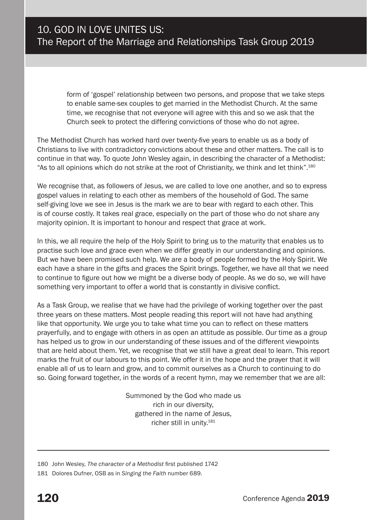form of 'gospel' relationship between two persons, and propose that we take steps to enable same-sex couples to get married in the Methodist Church. At the same time, we recognise that not everyone will agree with this and so we ask that the Church seek to protect the differing convictions of those who do not agree.

The Methodist Church has worked hard over twenty-five years to enable us as a body of Christians to live with contradictory convictions about these and other matters. The call is to continue in that way. To quote John Wesley again, in describing the character of a Methodist: "As to all opinions which do not strike at the root of Christianity, we think and let think".180

We recognise that, as followers of Jesus, we are called to love one another, and so to express gospel values in relating to each other as members of the household of God. The same self-giving love we see in Jesus is the mark we are to bear with regard to each other. This is of course costly. It takes real grace, especially on the part of those who do not share any majority opinion. It is important to honour and respect that grace at work.

In this, we all require the help of the Holy Spirit to bring us to the maturity that enables us to practise such love and grace even when we differ greatly in our understanding and opinions. But we have been promised such help. We are a body of people formed by the Holy Spirit. We each have a share in the gifts and graces the Spirit brings. Together, we have all that we need to continue to figure out how we might be a diverse body of people. As we do so, we will have something very important to offer a world that is constantly in divisive conflict.

As a Task Group, we realise that we have had the privilege of working together over the past three years on these matters. Most people reading this report will not have had anything like that opportunity. We urge you to take what time you can to reflect on these matters prayerfully, and to engage with others in as open an attitude as possible. Our time as a group has helped us to grow in our understanding of these issues and of the different viewpoints that are held about them. Yet, we recognise that we still have a great deal to learn. This report marks the fruit of our labours to this point. We offer it in the hope and the prayer that it will enable all of us to learn and grow, and to commit ourselves as a Church to continuing to do so. Going forward together, in the words of a recent hymn, may we remember that we are all:

> Summoned by the God who made us rich in our diversity, gathered in the name of Jesus, richer still in unity.181

<sup>180</sup> John Wesley, *The character of a Methodist* first published 1742

<sup>181</sup> Dolores Dufner, OSB as in *Singing the Faith* number 689.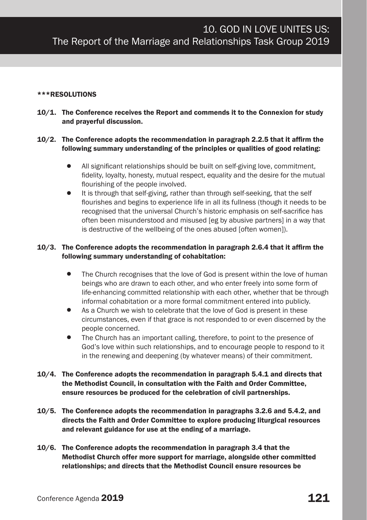#### \*\*\*RESOLUTIONS

10/1. The Conference receives the Report and commends it to the Connexion for study and prayerful discussion.

#### 10/2. The Conference adopts the recommendation in paragraph 2.2.5 that it affirm the following summary understanding of the principles or qualities of good relating:

- All significant relationships should be built on self-giving love, commitment, fidelity, loyalty, honesty, mutual respect, equality and the desire for the mutual flourishing of the people involved.
- It is through that self-giving, rather than through self-seeking, that the self flourishes and begins to experience life in all its fullness (though it needs to be recognised that the universal Church's historic emphasis on self-sacrifice has often been misunderstood and misused [eg by abusive partners] in a way that is destructive of the wellbeing of the ones abused [often women]).

#### 10/3. The Conference adopts the recommendation in paragraph 2.6.4 that it affirm the following summary understanding of cohabitation:

- The Church recognises that the love of God is present within the love of human beings who are drawn to each other, and who enter freely into some form of life-enhancing committed relationship with each other, whether that be through informal cohabitation or a more formal commitment entered into publicly.
- As a Church we wish to celebrate that the love of God is present in these circumstances, even if that grace is not responded to or even discerned by the people concerned.
- The Church has an important calling, therefore, to point to the presence of God's love within such relationships, and to encourage people to respond to it in the renewing and deepening (by whatever means) of their commitment.
- 10/4. The Conference adopts the recommendation in paragraph 5.4.1 and directs that the Methodist Council, in consultation with the Faith and Order Committee, ensure resources be produced for the celebration of civil partnerships.
- 10/5. The Conference adopts the recommendation in paragraphs 3.2.6 and 5.4.2, and directs the Faith and Order Committee to explore producing liturgical resources and relevant guidance for use at the ending of a marriage.
- 10/6. The Conference adopts the recommendation in paragraph 3.4 that the Methodist Church offer more support for marriage, alongside other committed relationships; and directs that the Methodist Council ensure resources be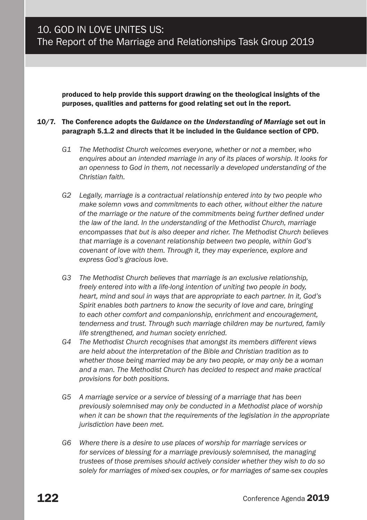produced to help provide this support drawing on the theological insights of the purposes, qualities and patterns for good relating set out in the report.

#### 10/7. The Conference adopts the *Guidance on the Understanding of Marriage* set out in paragraph 5.1.2 and directs that it be included in the Guidance section of CPD.

- *G1 The Methodist Church welcomes everyone, whether or not a member, who enquires about an intended marriage in any of its places of worship. It looks for an openness to God in them, not necessarily a developed understanding of the Christian faith.*
- *G2 Legally, marriage is a contractual relationship entered into by two people who make solemn vows and commitments to each other, without either the nature of the marriage or the nature of the commitments being further defined under the law of the land. In the understanding of the Methodist Church, marriage encompasses that but is also deeper and richer. The Methodist Church believes that marriage is a covenant relationship between two people, within God's covenant of love with them. Through it, they may experience, explore and express God's gracious love.*
- *G3 The Methodist Church believes that marriage is an exclusive relationship, freely entered into with a life-long intention of uniting two people in body, heart, mind and soul in ways that are appropriate to each partner. In it, God's Spirit enables both partners to know the security of love and care, bringing to each other comfort and companionship, enrichment and encouragement, tenderness and trust. Through such marriage children may be nurtured, family life strengthened, and human society enriched.*
- *G4 The Methodist Church recognises that amongst its members different views are held about the interpretation of the Bible and Christian tradition as to whether those being married may be any two people, or may only be a woman and a man. The Methodist Church has decided to respect and make practical provisions for both positions.*
- *G5 A marriage service or a service of blessing of a marriage that has been previously solemnised may only be conducted in a Methodist place of worship when it can be shown that the requirements of the legislation in the appropriate jurisdiction have been met.*
- *G6 Where there is a desire to use places of worship for marriage services or for services of blessing for a marriage previously solemnised, the managing trustees of those premises should actively consider whether they wish to do so solely for marriages of mixed-sex couples, or for marriages of same-sex couples*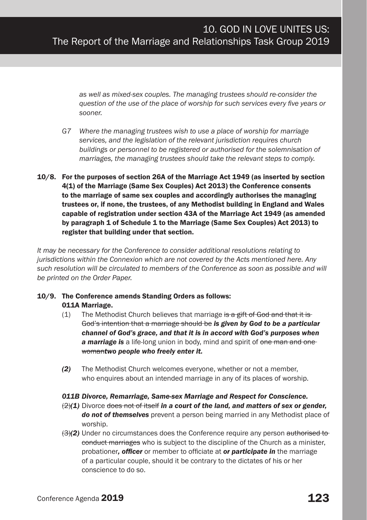*as well as mixed-sex couples. The managing trustees should re-consider the question of the use of the place of worship for such services every five years or sooner.* 

- *G7 Where the managing trustees wish to use a place of worship for marriage services, and the legislation of the relevant jurisdiction requires church buildings or personnel to be registered or authorised for the solemnisation of marriages, the managing trustees should take the relevant steps to comply.*
- 10/8. For the purposes of section 26A of the Marriage Act 1949 (as inserted by section 4(1) of the Marriage (Same Sex Couples) Act 2013) the Conference consents to the marriage of same sex couples and accordingly authorises the managing trustees or, if none, the trustees, of any Methodist building in England and Wales capable of registration under section 43A of the Marriage Act 1949 (as amended by paragraph 1 of Schedule 1 to the Marriage (Same Sex Couples) Act 2013) to register that building under that section.

*It may be necessary for the Conference to consider additional resolutions relating to jurisdictions within the Connexion which are not covered by the Acts mentioned here. Any such resolution will be circulated to members of the Conference as soon as possible and will be printed on the Order Paper.*

#### 10/9. The Conference amends Standing Orders as follows: 011A Marriage.

- (1) The Methodist Church believes that marriage is a gift of God and that it is God's intention that a marriage should be *is given by God to be a particular channel of God's grace, and that it is in accord with God's purposes when*  **a marriage is** a life-long union in body, mind and spirit of one man and one woman*two people who freely enter it.*
- *(2)* The Methodist Church welcomes everyone, whether or not a member, who enquires about an intended marriage in any of its places of worship.

#### *011B Divorce, Remarriage, Same-sex Marriage and Respect for Conscience.*

- (2)*(1)* Divorce does not of itself *in a court of the land, and matters of sex or gender, do not of themselves* prevent a person being married in any Methodist place of worship.
- (3)*(2)* Under no circumstances does the Conference require any person authorised to conduct marriages who is subject to the discipline of the Church as a minister, probationer*, officer* or member to officiate at *or participate in* the marriage of a particular couple, should it be contrary to the dictates of his or her conscience to do so.